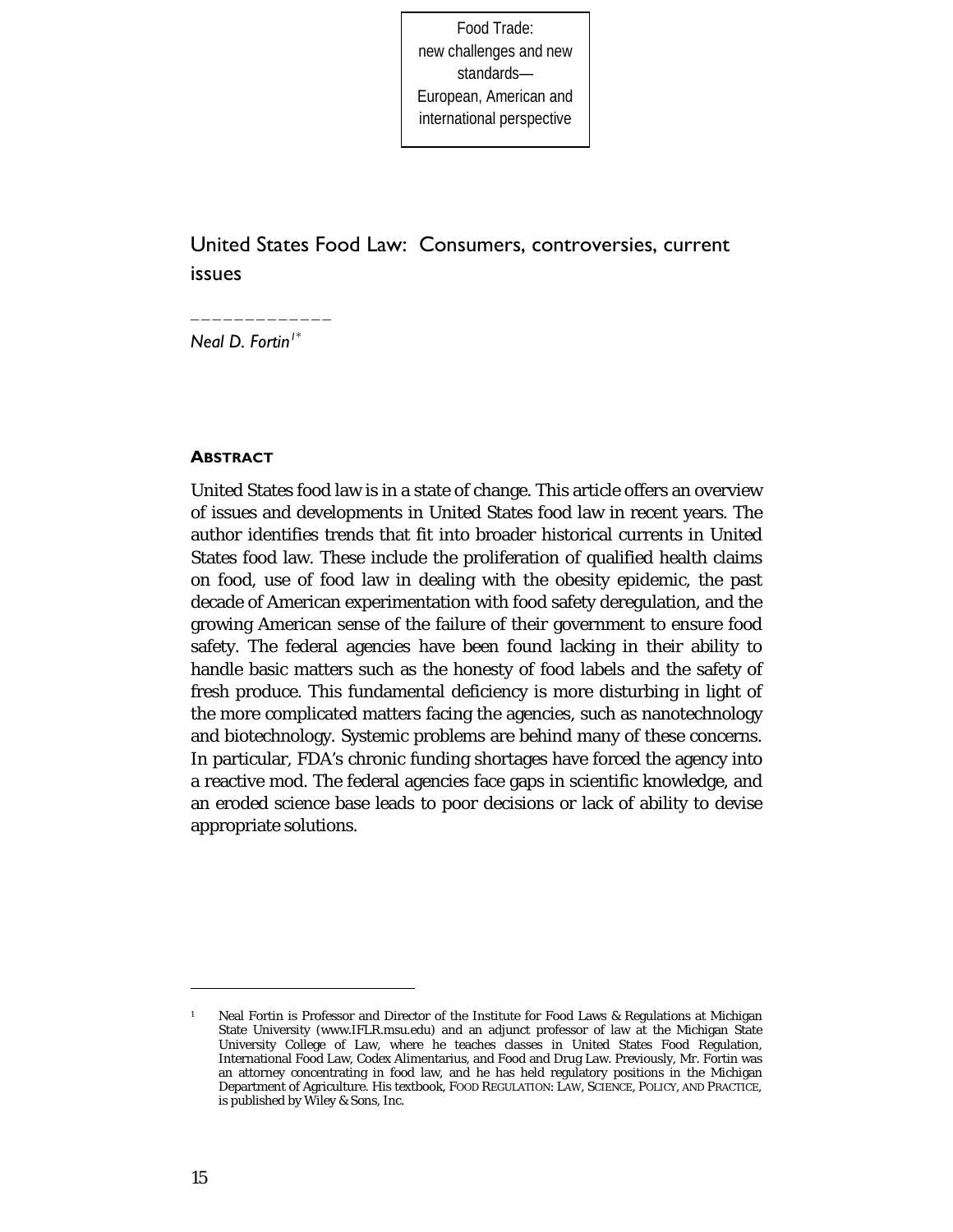Food Trade: new challenges and new standards— European, American and international perspective

# United States Food Law: Consumers, controversies, current issues

*Neal D. Fortin[1](#page-0-0)\**

\_\_\_\_\_\_\_\_\_\_\_\_\_

#### **ABSTRACT**

United States food law is in a state of change. This article offers an overview of issues and developments in United States food law in recent years. The author identifies trends that fit into broader historical currents in United States food law. These include the proliferation of qualified health claims on food, use of food law in dealing with the obesity epidemic, the past decade of American experimentation with food safety deregulation, and the growing American sense of the failure of their government to ensure food safety. The federal agencies have been found lacking in their ability to handle basic matters such as the honesty of food labels and the safety of fresh produce. This fundamental deficiency is more disturbing in light of the more complicated matters facing the agencies, such as nanotechnology and biotechnology. Systemic problems are behind many of these concerns. In particular, FDA's chronic funding shortages have forced the agency into a reactive mod. The federal agencies face gaps in scientific knowledge, and an eroded science base leads to poor decisions or lack of ability to devise appropriate solutions.

<span id="page-0-0"></span><sup>1</sup> Neal Fortin is Professor and Director of the Institute for Food Laws & Regulations at Michigan State University (www.IFLR.msu.edu) and an adjunct professor of law at the Michigan State University College of Law, where he teaches classes in United States Food Regulation, International Food Law, Codex Alimentarius, and Food and Drug Law. Previously, Mr. Fortin was an attorney concentrating in food law, and he has held regulatory positions in the Michigan Department of Agriculture. His textbook, FOOD REGULATION: LAW, SCIENCE, POLICY, AND PRACTICE, is published by Wiley & Sons, Inc.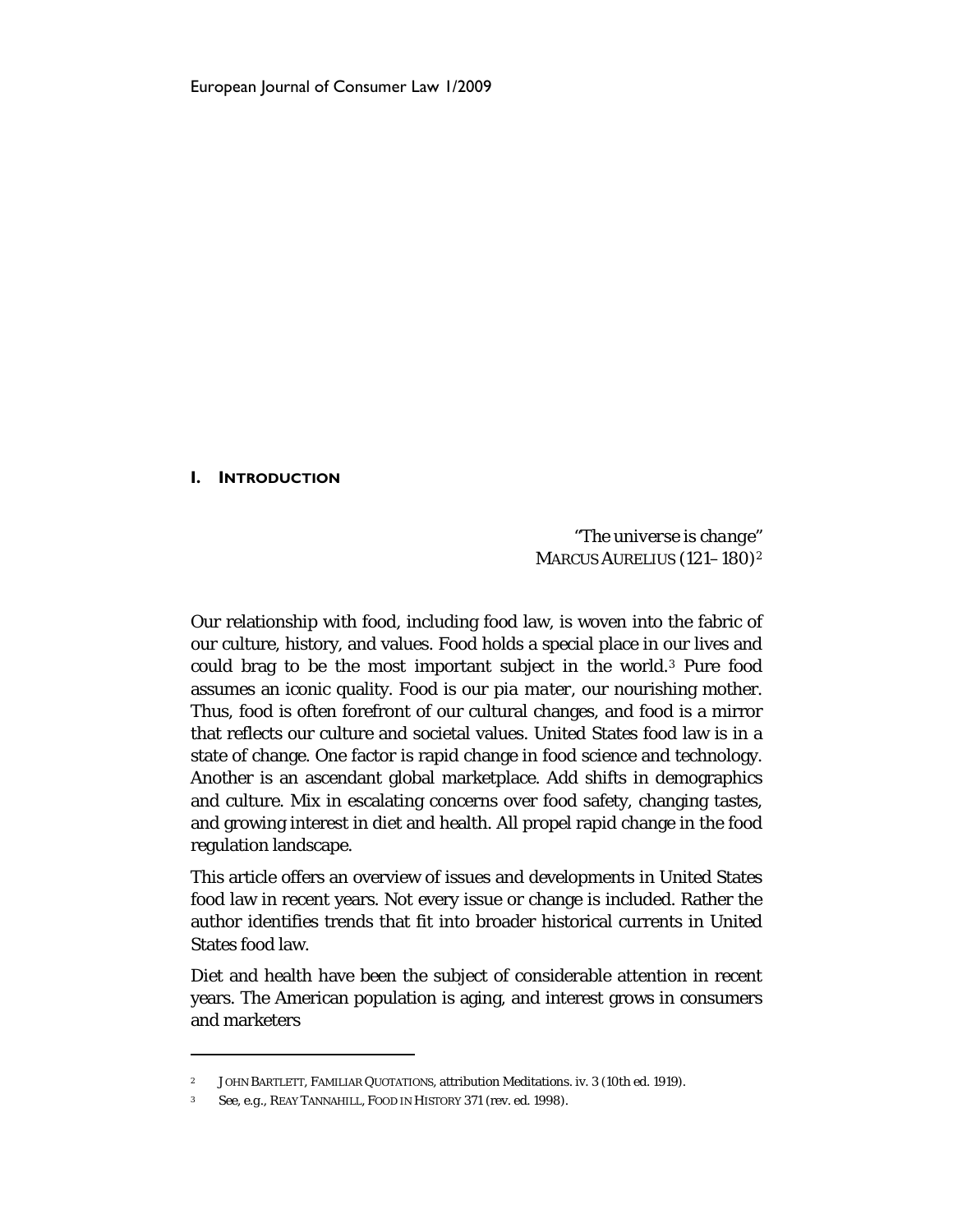#### **I. INTRODUCTION**

1

"*The universe is change*" MARCUS AURELIUS (121–180)[2](#page-1-0)

Our relationship with food, including food law, is woven into the fabric of our culture, history, and values. Food holds a special place in our lives and could brag to be the most important subject in the world.[3](#page-1-1) Pure food assumes an iconic quality. Food is our *pia mater*, our nourishing mother. Thus, food is often forefront of our cultural changes, and food is a mirror that reflects our culture and societal values. United States food law is in a state of change. One factor is rapid change in food science and technology. Another is an ascendant global marketplace. Add shifts in demographics and culture. Mix in escalating concerns over food safety, changing tastes, and growing interest in diet and health. All propel rapid change in the food regulation landscape.

This article offers an overview of issues and developments in United States food law in recent years. Not every issue or change is included. Rather the author identifies trends that fit into broader historical currents in United States food law.

Diet and health have been the subject of considerable attention in recent years. The American population is aging, and interest grows in consumers and marketers

<span id="page-1-1"></span><span id="page-1-0"></span><sup>2</sup> JOHN BARTLETT, FAMILIAR QUOTATIONS, attribution Meditations. iv. 3 (10th ed. 1919).

<sup>3</sup> *See, e.g.,* REAY TANNAHILL, FOOD IN HISTORY 371 (rev. ed. 1998).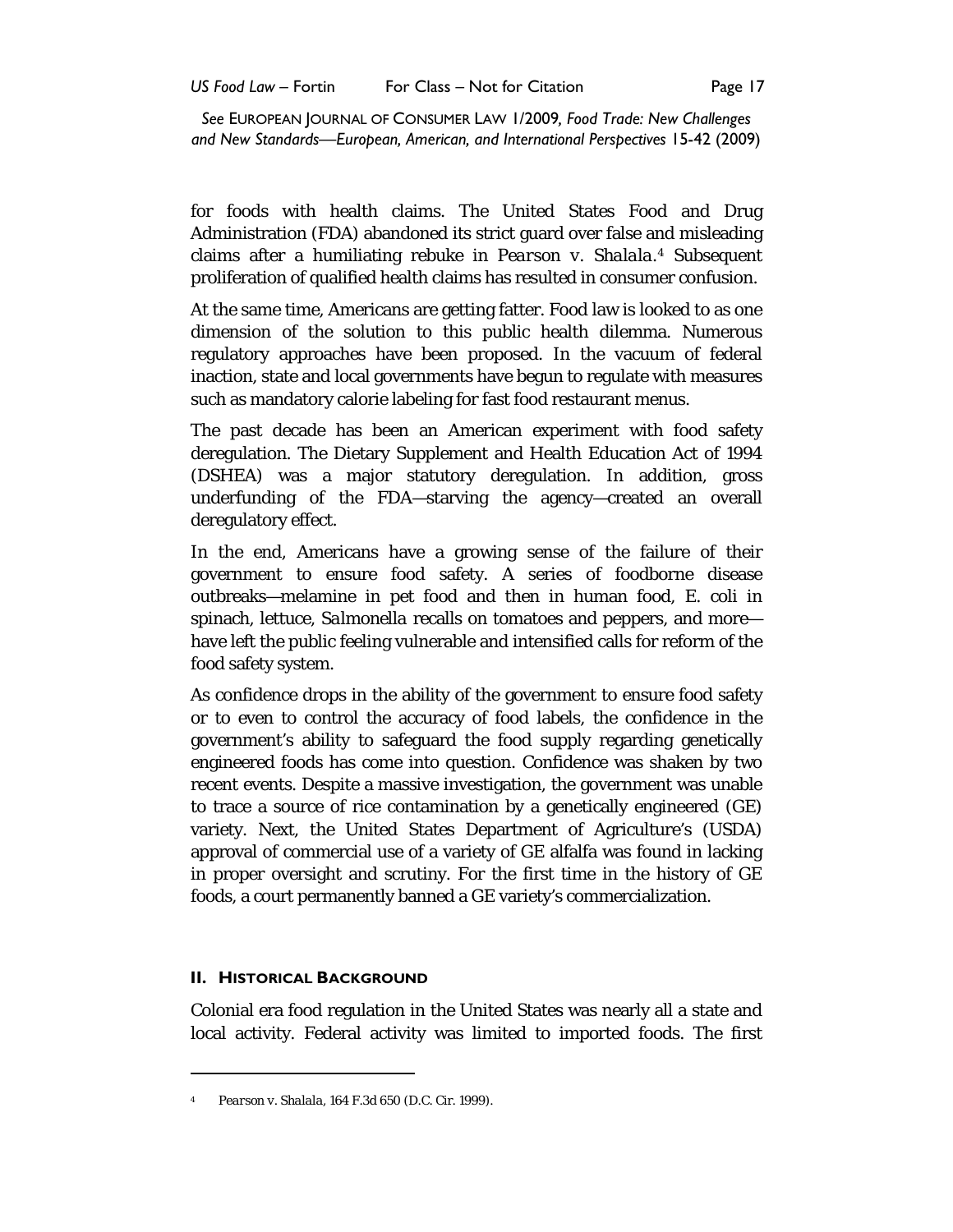for foods with health claims. The United States Food and Drug Administration (FDA) abandoned its strict guard over false and misleading claims after a humiliating rebuke in *Pearson v. Shalala.[4](#page-2-0)* Subsequent proliferation of qualified health claims has resulted in consumer confusion.

At the same time, Americans are getting fatter. Food law is looked to as one dimension of the solution to this public health dilemma. Numerous regulatory approaches have been proposed. In the vacuum of federal inaction, state and local governments have begun to regulate with measures such as mandatory calorie labeling for fast food restaurant menus.

The past decade has been an American experiment with food safety deregulation. The Dietary Supplement and Health Education Act of 1994 (DSHEA) was a major statutory deregulation. In addition, gross underfunding of the FDA—starving the agency—created an overall deregulatory effect.

In the end, Americans have a growing sense of the failure of their government to ensure food safety. A series of foodborne disease outbreaks—melamine in pet food and then in human food, *E. coli* in spinach, lettuce, *Salmonella* recalls on tomatoes and peppers, and more have left the public feeling vulnerable and intensified calls for reform of the food safety system.

As confidence drops in the ability of the government to ensure food safety or to even to control the accuracy of food labels, the confidence in the government's ability to safeguard the food supply regarding genetically engineered foods has come into question. Confidence was shaken by two recent events. Despite a massive investigation, the government was unable to trace a source of rice contamination by a genetically engineered (GE) variety. Next, the United States Department of Agriculture's (USDA) approval of commercial use of a variety of GE alfalfa was found in lacking in proper oversight and scrutiny. For the first time in the history of GE foods, a court permanently banned a GE variety's commercialization.

#### **II. HISTORICAL BACKGROUND**

 $\overline{a}$ 

Colonial era food regulation in the United States was nearly all a state and local activity. Federal activity was limited to imported foods. The first

<span id="page-2-0"></span><sup>4</sup> *Pearson v. Shalala*, 164 F.3d 650 (D.C. Cir. 1999).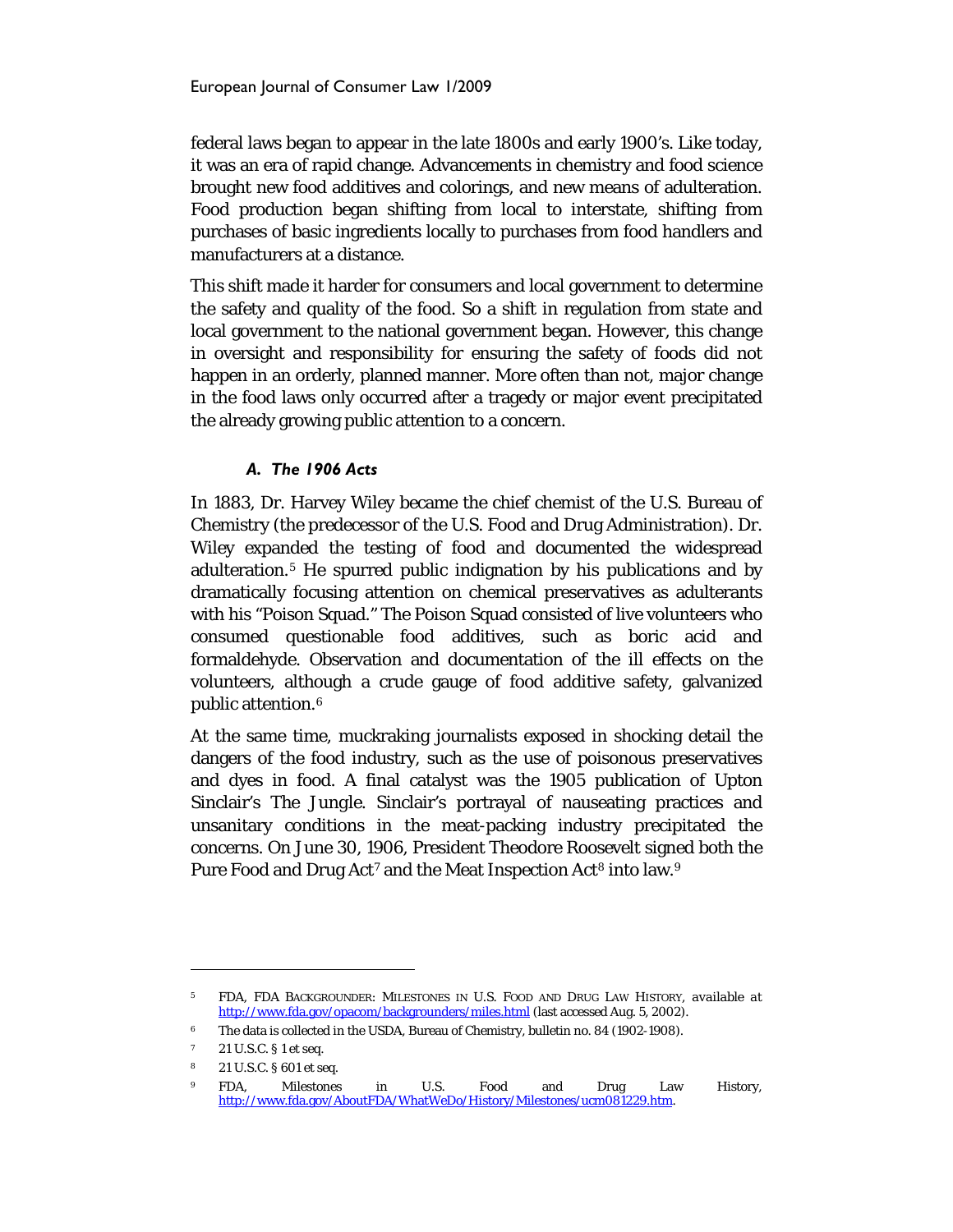federal laws began to appear in the late 1800s and early 1900's. Like today, it was an era of rapid change. Advancements in chemistry and food science brought new food additives and colorings, and new means of adulteration. Food production began shifting from local to interstate, shifting from purchases of basic ingredients locally to purchases from food handlers and manufacturers at a distance.

This shift made it harder for consumers and local government to determine the safety and quality of the food. So a shift in regulation from state and local government to the national government began. However, this change in oversight and responsibility for ensuring the safety of foods did not happen in an orderly, planned manner. More often than not, major change in the food laws only occurred after a tragedy or major event precipitated the already growing public attention to a concern.

## *A. The 1906 Acts*

In 1883, Dr. Harvey Wiley became the chief chemist of the U.S. Bureau of Chemistry (the predecessor of the U.S. Food and Drug Administration). Dr. Wiley expanded the testing of food and documented the widespread adulteration.[5](#page-3-0) He spurred public indignation by his publications and by dramatically focusing attention on chemical preservatives as adulterants with his "Poison Squad." The Poison Squad consisted of live volunteers who consumed questionable food additives, such as boric acid and formaldehyde. Observation and documentation of the ill effects on the volunteers, although a crude gauge of food additive safety, galvanized public attention.[6](#page-3-1)

At the same time, muckraking journalists exposed in shocking detail the dangers of the food industry, such as the use of poisonous preservatives and dyes in food. A final catalyst was the 1905 publication of Upton Sinclair's *The Jungle*. Sinclair's portrayal of nauseating practices and unsanitary conditions in the meat-packing industry precipitated the concerns. On June 30, 1906, President Theodore Roosevelt signed both the Pure Food and Drug Act<sup>[7](#page-3-2)</sup> and the Meat Inspection Act<sup>[8](#page-3-3)</sup> into law.<sup>[9](#page-3-4)</sup>

<span id="page-3-0"></span><sup>5</sup> FDA, FDA BACKGROUNDER: MILESTONES IN U.S. FOOD AND DRUG LAW HISTORY, *available at* <http://www.fda.gov/opacom/backgrounders/miles.html> (last accessed Aug. 5, 2002).

<span id="page-3-2"></span><span id="page-3-1"></span><sup>6</sup> The data is collected in the USDA, Bureau of Chemistry, bulletin no. 84 (1902-1908).

<sup>7</sup> 21 U.S.C. § 1 *et seq.* 

<span id="page-3-3"></span><sup>8</sup> 21 U.S.C. § 601 *et seq*.

<span id="page-3-4"></span><sup>9</sup> FDA, Milestones in U.S. Food and Drug Law History, [http://www.fda.gov/AboutFDA/WhatWeDo/History/Milestones/ucm081229.htm.](http://www.fda.gov/AboutFDA/WhatWeDo/History/Milestones/ucm081229.htm)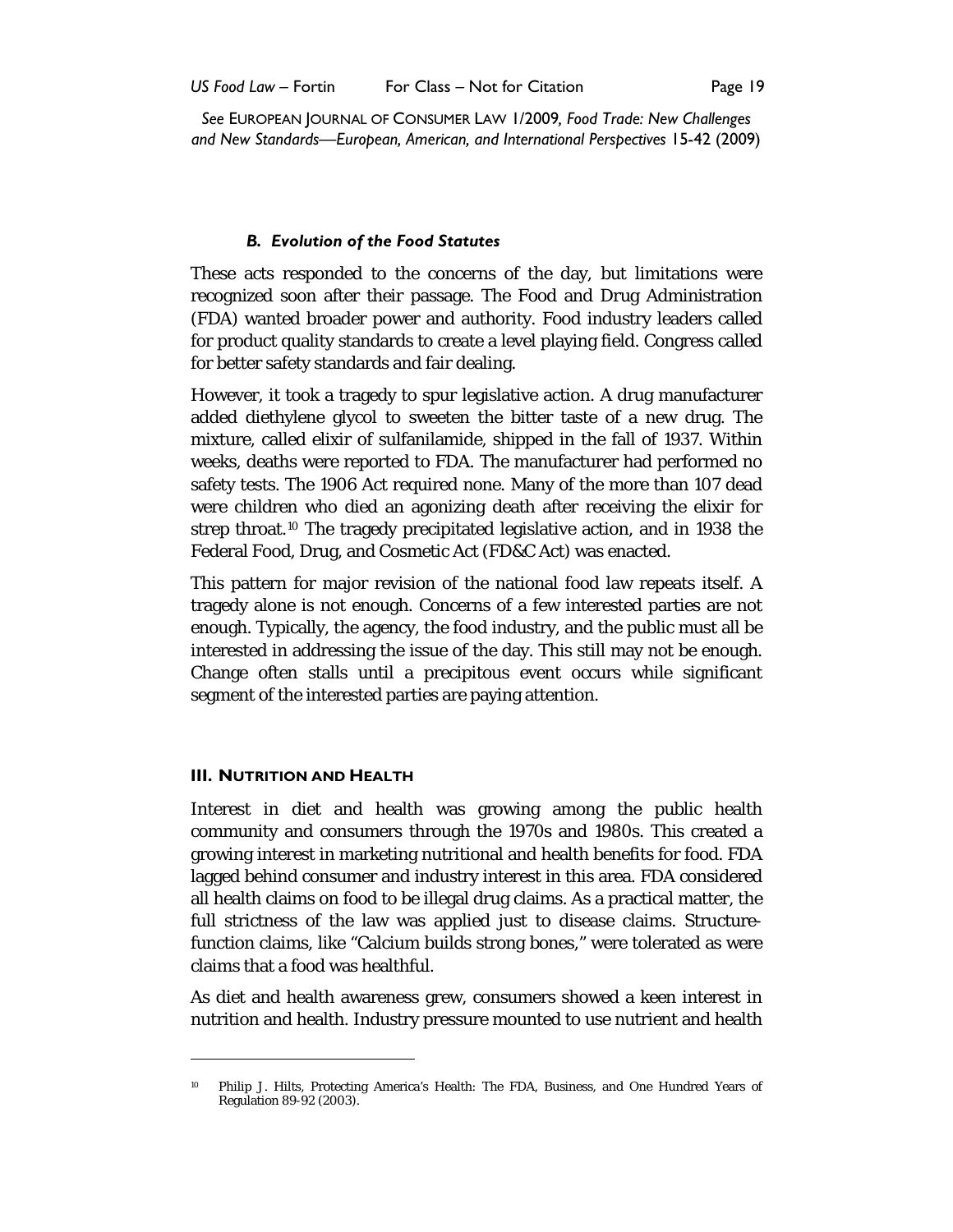#### *B. Evolution of the Food Statutes*

These acts responded to the concerns of the day, but limitations were recognized soon after their passage. The Food and Drug Administration (FDA) wanted broader power and authority. Food industry leaders called for product quality standards to create a level playing field. Congress called for better safety standards and fair dealing.

However, it took a tragedy to spur legislative action. A drug manufacturer added diethylene glycol to sweeten the bitter taste of a new drug. The mixture, called elixir of sulfanilamide, shipped in the fall of 1937. Within weeks, deaths were reported to FDA. The manufacturer had performed no safety tests. The 1906 Act required none. Many of the more than 107 dead were children who died an agonizing death after receiving the elixir for strep throat.<sup>10</sup> The tragedy precipitated legislative action, and in 1938 the Federal Food, Drug, and Cosmetic Act (FD&C Act) was enacted.

This pattern for major revision of the national food law repeats itself. A tragedy alone is not enough. Concerns of a few interested parties are not enough. Typically, the agency, the food industry, and the public must all be interested in addressing the issue of the day. This still may not be enough. Change often stalls until a precipitous event occurs while significant segment of the interested parties are paying attention.

#### **III. NUTRITION AND HEALTH**

1

Interest in diet and health was growing among the public health community and consumers through the 1970s and 1980s. This created a growing interest in marketing nutritional and health benefits for food. FDA lagged behind consumer and industry interest in this area. FDA considered all health claims on food to be illegal drug claims. As a practical matter, the full strictness of the law was applied just to disease claims. Structurefunction claims, like "Calcium builds strong bones," were tolerated as were claims that a food was healthful.

As diet and health awareness grew, consumers showed a keen interest in nutrition and health. Industry pressure mounted to use nutrient and health

<span id="page-4-0"></span><sup>10</sup> Philip J. Hilts, Protecting America's Health: The FDA, Business, and One Hundred Years of Regulation 89-92 (2003).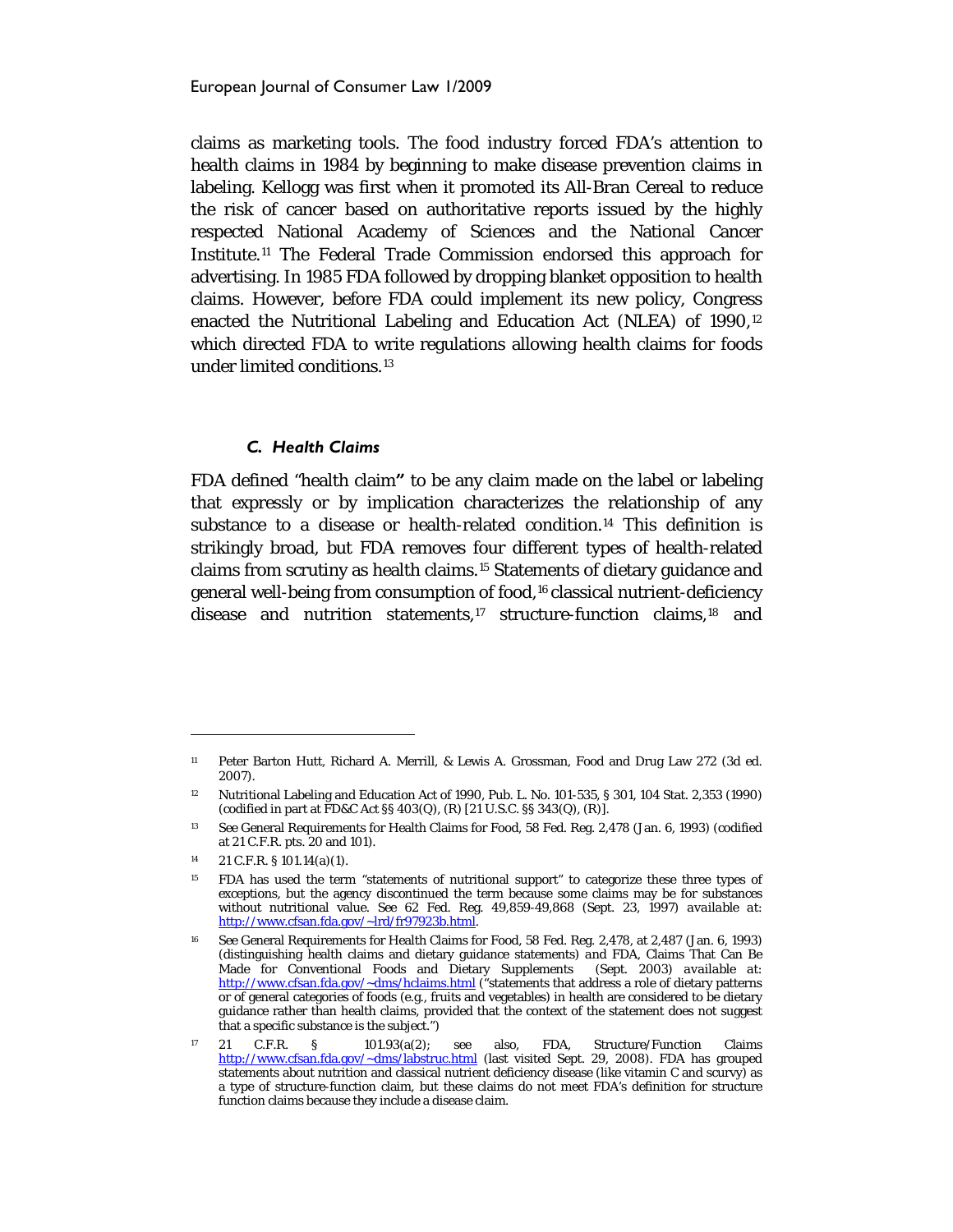claims as marketing tools. The food industry forced FDA's attention to health claims in 1984 by beginning to make disease prevention claims in labeling. Kellogg was first when it promoted its All-Bran Cereal to reduce the risk of cancer based on authoritative reports issued by the highly respected National Academy of Sciences and the National Cancer Institute.[11](#page-5-0) The Federal Trade Commission endorsed this approach for advertising. In 1985 FDA followed by dropping blanket opposition to health claims. However, before FDA could implement its new policy, Congress enacted the Nutritional Labeling and Education Act (NLEA) of 1990,<sup>[12](#page-5-1)</sup> which directed FDA to write regulations allowing health claims for foods under limited conditions.[13](#page-5-2)

#### *C. Health Claims*

FDA defined "health claim**"** to be any claim made on the label or labeling that expressly or by implication characterizes the relationship of any substance to a disease or health-related condition.[14](#page-5-3) This definition is strikingly broad, but FDA removes four different types of health-related claims from scrutiny as health claims.[15](#page-5-4) Statements of dietary guidance and general well-being from consumption of food,[16](#page-5-5) classical nutrient-deficiency disease and nutrition statements,[17](#page-5-6) structure-function claims,[18](#page-5-7) and

<span id="page-5-0"></span><sup>11</sup> Peter Barton Hutt, Richard A. Merrill, & Lewis A. Grossman, Food and Drug Law 272 (3d ed. 2007).

<span id="page-5-7"></span><span id="page-5-1"></span><sup>12</sup> Nutritional Labeling and Education Act of 1990, Pub. L. No. 101-535, § 301, 104 Stat. 2,353 (1990) (codified in part at FD&C Act §§ 403(Q), (R) [21 U.S.C. §§ 343(Q), (R)].

<span id="page-5-2"></span><sup>13</sup> *See* General Requirements for Health Claims for Food, 58 Fed. Reg. 2,478 (Jan. 6, 1993) (codified at 21 C.F.R. pts. 20 and 101).

<span id="page-5-3"></span><sup>14</sup> 21 C.F.R. § 101.14(a)(1).

<span id="page-5-4"></span><sup>&</sup>lt;sup>15</sup> FDA has used the term "statements of nutritional support" to categorize these three types of exceptions, but the agency discontinued the term because some claims may be for substances without nutritional value. *See* 62 Fed. Reg. 49,859-49,868 (Sept. 23, 1997) *available at*: [http://www.cfsan.fda.gov/~lrd/fr97923b.html.](http://www.cfsan.fda.gov/~lrd/fr97923b.html) 

<span id="page-5-5"></span><sup>16</sup> *See* General Requirements for Health Claims for Food, 58 Fed. Reg. 2,478, at 2,487 (Jan. 6, 1993) (distinguishing health claims and dietary guidance statements) *and* FDA, Claims That Can Be Made for Conventional Foods and Dietary Supplements <http://www.cfsan.fda.gov/~dms/hclaims.html> ("statements that address a role of dietary patterns or of general categories of foods (e.g., fruits and vegetables) in health are considered to be dietary guidance rather than health claims, provided that the context of the statement does not suggest that a specific substance is the subject.")

<span id="page-5-6"></span><sup>17</sup> 21 C.F.R. § 101.93(a(2); see also, FDA, Structure/Function Claims <http://www.cfsan.fda.gov/~dms/labstruc.html> (last visited Sept. 29, 2008). FDA has grouped statements about nutrition and classical nutrient deficiency disease (like vitamin C and scurvy) as a type of structure-function claim, but these claims do not meet FDA's definition for structure function claims because they include a disease claim.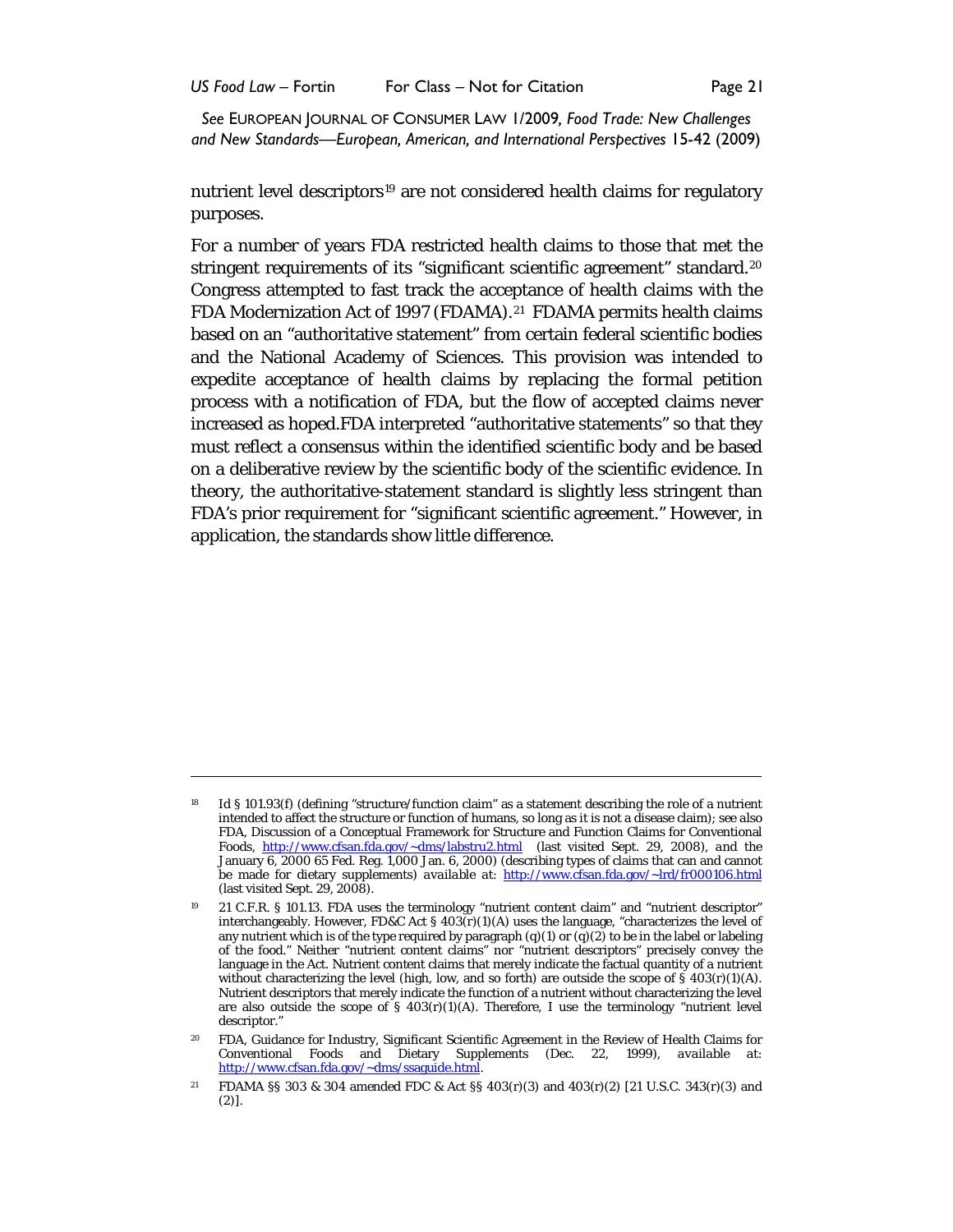nutrient level descriptors<sup>[19](#page-6-0)</sup> are not considered health claims for regulatory purposes.

For a number of years FDA restricted health claims to those that met the stringent requirements of its "significant scientific agreement" standard. [20](#page-6-1) Congress attempted to fast track the acceptance of health claims with the FDA Modernization Act of 1997 (FDAMA).<sup>[21](#page-6-2)</sup> FDAMA permits health claims based on an "authoritative statement" from certain federal scientific bodies and the National Academy of Sciences. This provision was intended to expedite acceptance of health claims by replacing the formal petition process with a notification of FDA, but the flow of accepted claims never increased as hoped.FDA interpreted "authoritative statements" so that they must reflect a consensus within the identified scientific body and be based on a deliberative review by the scientific body of the scientific evidence. In theory, the authoritative-statement standard is slightly less stringent than FDA's prior requirement for "significant scientific agreement." However, in application, the standards show little difference.

<sup>&</sup>lt;sup>18</sup> *Id* § 101.93(f) (defining "structure/function claim" as a statement describing the role of a nutrient intended to affect the structure or function of humans, so long as it is not a disease claim); *see also*  FDA, Discussion of a Conceptual Framework for Structure and Function Claims for Conventional Foods, <http://www.cfsan.fda.gov/~dms/labstru2.html>(last visited Sept. 29, 2008), *and* the January 6, 2000 65 Fed. Reg. 1,000 Jan. 6, 2000) (describing types of claims that can and cannot be made for dietary supplements) *available at*:<http://www.cfsan.fda.gov/~lrd/fr000106.html> (last visited Sept. 29, 2008).

<span id="page-6-0"></span><sup>19</sup> 21 C.F.R. § 101.13. FDA uses the terminology "nutrient content claim" and "nutrient descriptor" interchangeably. However, FD&C Act § 403(r)(1)(A) uses the language, "characterizes the level of any nutrient which is of the type required by paragraph  $(q)(1)$  or  $(q)(2)$  to be in the label or labeling of the food." Neither "nutrient content claims" nor "nutrient descriptors" precisely convey the language in the Act. Nutrient content claims that merely indicate the factual quantity of a nutrient without characterizing the level (high, low, and so forth) are outside the scope of  $\hat{S}$  403(r)(1)(A). Nutrient descriptors that merely indicate the function of a nutrient without characterizing the level are also outside the scope of  $\S$  403(r)(1)(A). Therefore, I use the terminology "nutrient level descriptor.'

<span id="page-6-1"></span><sup>20</sup> FDA, Guidance for Industry, Significant Scientific Agreement in the Review of Health Claims for Conventional Foods and Dietary Supplements (Dec. 22, 1999), *available at*: [http://www.cfsan.fda.gov/~dms/ssaguide.html.](http://www.cfsan.fda.gov/~dms/ssaguide.html) 

<span id="page-6-2"></span><sup>21</sup> FDAMA §§ 303 & 304 amended FDC & Act §§ 403(r)(3) and 403(r)(2) [21 U.S.C. 343(r)(3) and (2)].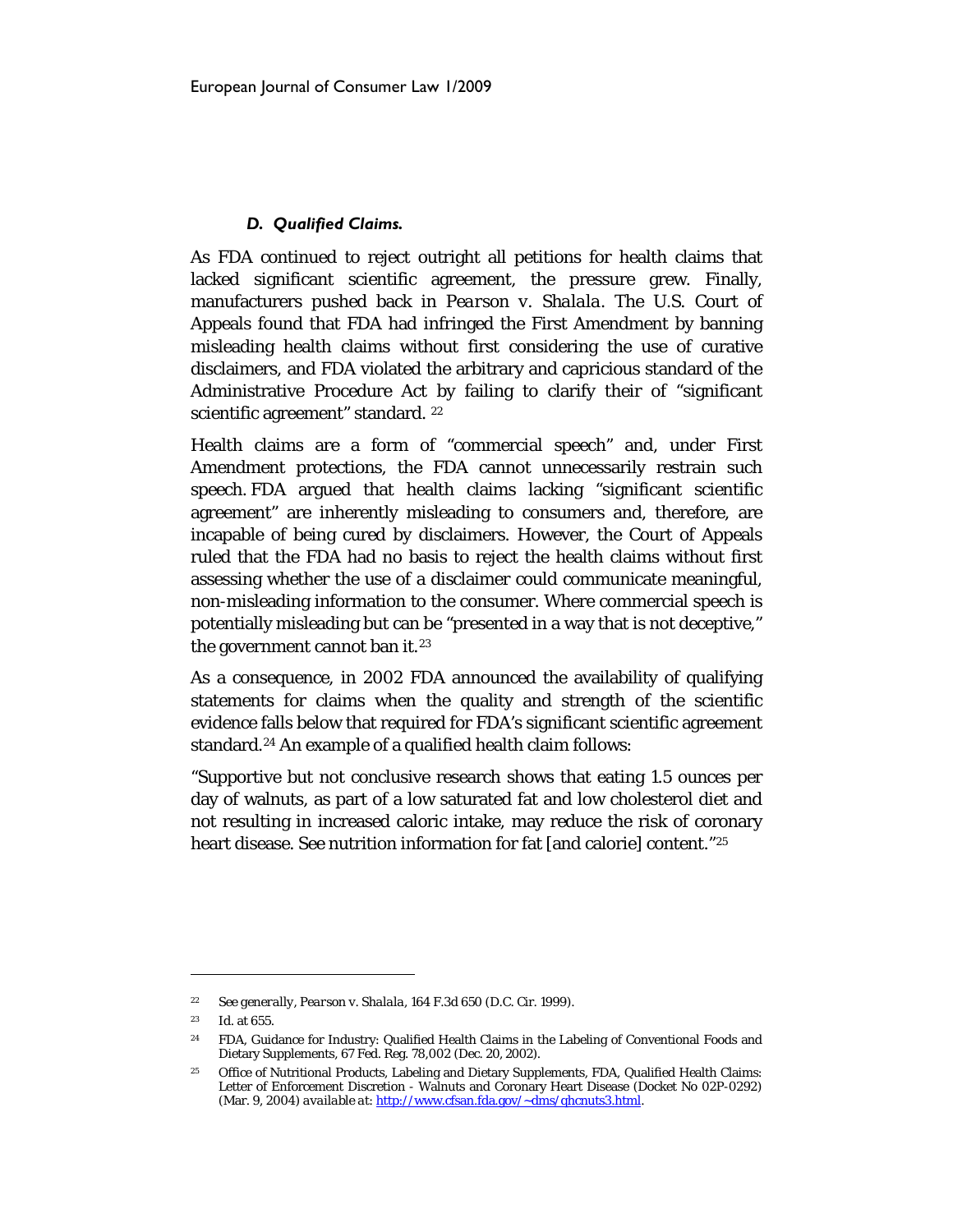## *D. Qualified Claims.*

As FDA continued to reject outright all petitions for health claims that lacked significant scientific agreement, the pressure grew. Finally, manufacturers pushed back in *Pearson v. Shalala*. The U.S. Court of Appeals found that FDA had infringed the First Amendment by banning misleading health claims without first considering the use of curative disclaimers, and FDA violated the arbitrary and capricious standard of the Administrative Procedure Act by failing to clarify their of "significant scientific agreement" standard. <sup>[22](#page-7-0)</sup>

Health claims are a form of "commercial speech" and, under First Amendment protections, the FDA cannot unnecessarily restrain such speech. FDA argued that health claims lacking "significant scientific agreement" are inherently misleading to consumers and, therefore, are incapable of being cured by disclaimers. However, the Court of Appeals ruled that the FDA had no basis to reject the health claims without first assessing whether the use of a disclaimer could communicate meaningful, non-misleading information to the consumer. Where commercial speech is potentially misleading but can be "presented in a way that is not deceptive," the government cannot ban it.<sup>[23](#page-7-1)</sup>

As a consequence, in 2002 FDA announced the availability of qualifying statements for claims when the quality and strength of the scientific evidence falls below that required for FDA's significant scientific agreement standard.[24](#page-7-2) An example of a qualified health claim follows:

"Supportive but not conclusive research shows that eating 1.5 ounces per day of walnuts, as part of a low saturated fat and low cholesterol diet and not resulting in increased caloric intake, may reduce the risk of coronary heart disease. See nutrition information for fat [and calorie] content." [25](#page-7-3)

<span id="page-7-0"></span><sup>22</sup> *See generally*, *Pearson v. Shalala*, 164 F.3d 650 (D.C. Cir. 1999).

<span id="page-7-1"></span><sup>23</sup> *Id*. at 655.

<span id="page-7-2"></span><sup>24</sup> FDA, Guidance for Industry: Qualified Health Claims in the Labeling of Conventional Foods and Dietary Supplements, 67 Fed. Reg. 78,002 (Dec. 20, 2002).

<span id="page-7-3"></span><sup>&</sup>lt;sup>25</sup> Office of Nutritional Products, Labeling and Dietary Supplements, FDA, Qualified Health Claims: Letter of Enforcement Discretion - Walnuts and Coronary Heart Disease (Docket No 02P-0292) (Mar. 9, 2004) *available at*[: http://www.cfsan.fda.gov/~dms/qhcnuts3.html.](http://www.cfsan.fda.gov/~dms/qhcnuts3.html)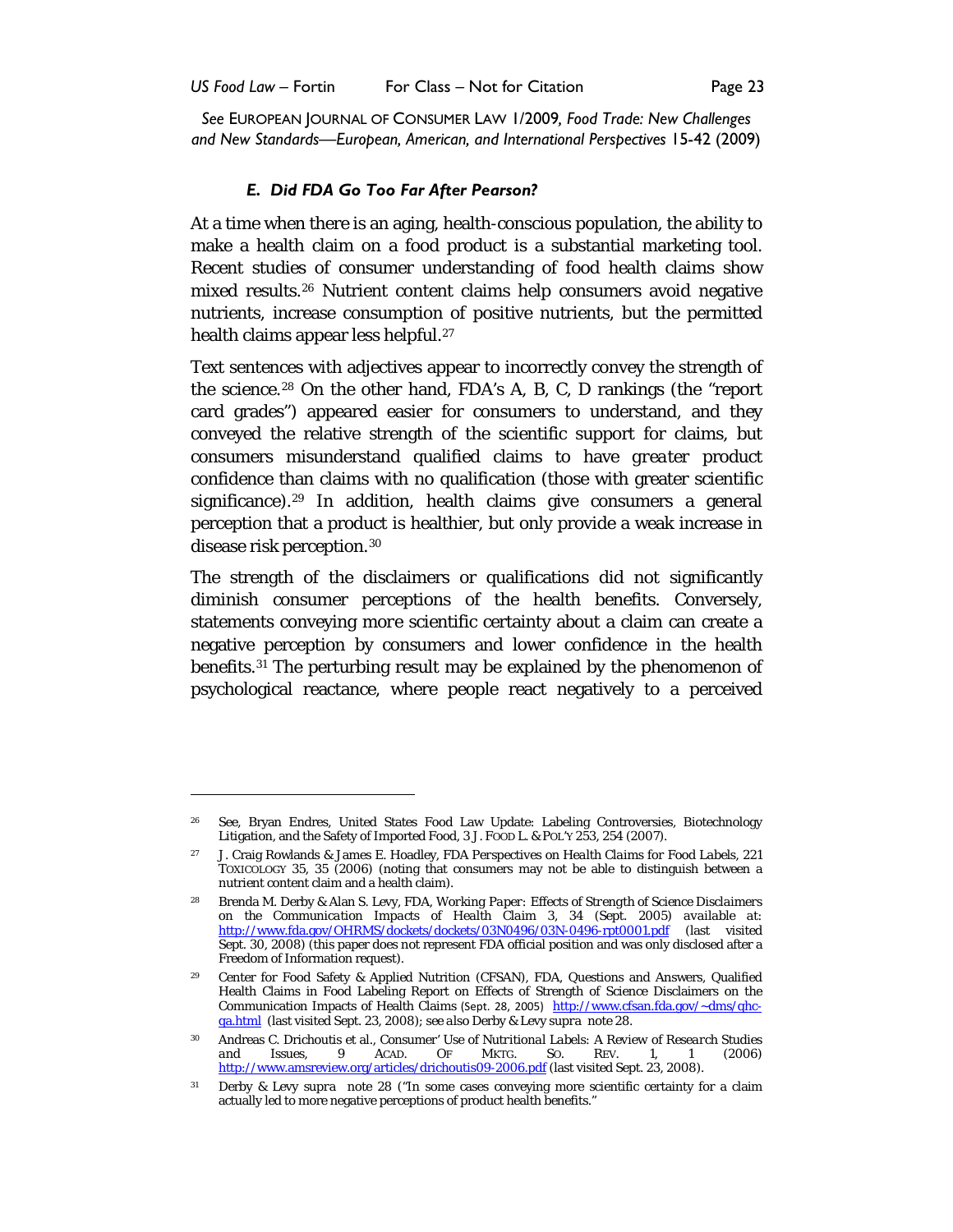## <span id="page-8-7"></span>*E. Did FDA Go Too Far After Pearson?*

At a time when there is an aging, health-conscious population, the ability to make a health claim on a food product is a substantial marketing tool. Recent studies of consumer understanding of food health claims show mixed results.[26](#page-8-1) Nutrient content claims help consumers avoid negative nutrients, increase consumption of positive nutrients, but the permitted health claims appear less helpful.<sup>[27](#page-8-2)</sup>

<span id="page-8-0"></span>Text sentences with adjectives appear to incorrectly convey the strength of the science.[28](#page-8-3) On the other hand, FDA's A, B, C, D rankings (the "report card grades") appeared easier for consumers to understand, and they conveyed the relative strength of the scientific support for claims, but consumers misunderstand qualified claims to have *greater* product confidence than claims with no qualification (those with greater scientific significance).<sup>29</sup> In addition, health claims give consumers a general perception that a product is healthier, but only provide a weak increase in disease risk perception.[30](#page-8-5)

The strength of the disclaimers or qualifications did not significantly diminish consumer perceptions of the health benefits. Conversely, statements conveying *more* scientific certainty about a claim can create a negative perception by consumers and lower confidence in the health benefits.<sup>[31](#page-8-6)</sup> The perturbing result may be explained by the phenomenon of psychological reactance, where people react negatively to a perceived

<span id="page-8-1"></span><sup>26</sup> See, Bryan Endres, United States Food Law Update: Labeling Controversies, Biotechnology Litigation, and the Safety of Imported Food, 3 J. FOOD L. & POL'Y 253, 254 (2007).

<span id="page-8-2"></span><sup>27</sup> J. Craig Rowlands & James E. Hoadley, FDA *Perspectives on Health Claims for Food Labels*, 221 TOXICOLOGY 35, 35 (2006) (noting that consumers may not be able to distinguish between a nutrient content claim and a health claim).

<span id="page-8-3"></span><sup>28</sup> Brenda M. Derby & Alan S. Levy, FDA, *Working Paper: Effects of Strength of Science Disclaimers on the Communication Impacts of Health Claim* 3, 34 (Sept. 2005) *available at*: <http://www.fda.gov/OHRMS/dockets/dockets/03N0496/03N-0496-rpt0001.pdf> (last visited Sept. 30, 2008) (this paper does not represent FDA official position and was only disclosed after a Freedom of Information request).

<span id="page-8-4"></span><sup>29</sup> Center for Food Safety & Applied Nutrition (CFSAN), FDA, Questions and Answers, Qualified Health Claims in Food Labeling Report on Effects of Strength of Science Disclaimers on the Communication Impacts of Health Claims (Sept. 28, 2005) [http://www.cfsan.fda.gov/~dms/qhc](http://www.cfsan.fda.gov/~dms/qhc-qa.html)[qa.html](http://www.cfsan.fda.gov/~dms/qhc-qa.html) (last visited Sept. 23, 2008); *see also* Derby & Levy *supra* not[e 28.](#page-8-0)

<span id="page-8-5"></span><sup>30</sup> Andreas C. Drichoutis et al., *Consumer' Use of Nutritional Labels: A Review of Research Studies and Issues*, 9 ACAD. OF MKTG. SO. REV. 1, 1 (2006) <http://www.amsreview.org/articles/drichoutis09-2006.pdf> (last visited Sept. 23, 2008).

<span id="page-8-6"></span><sup>31</sup> Derby & Levy *supra* note [28](#page-8-0) ("In some cases conveying more scientific certainty for a claim actually led to more negative perceptions of product health benefits."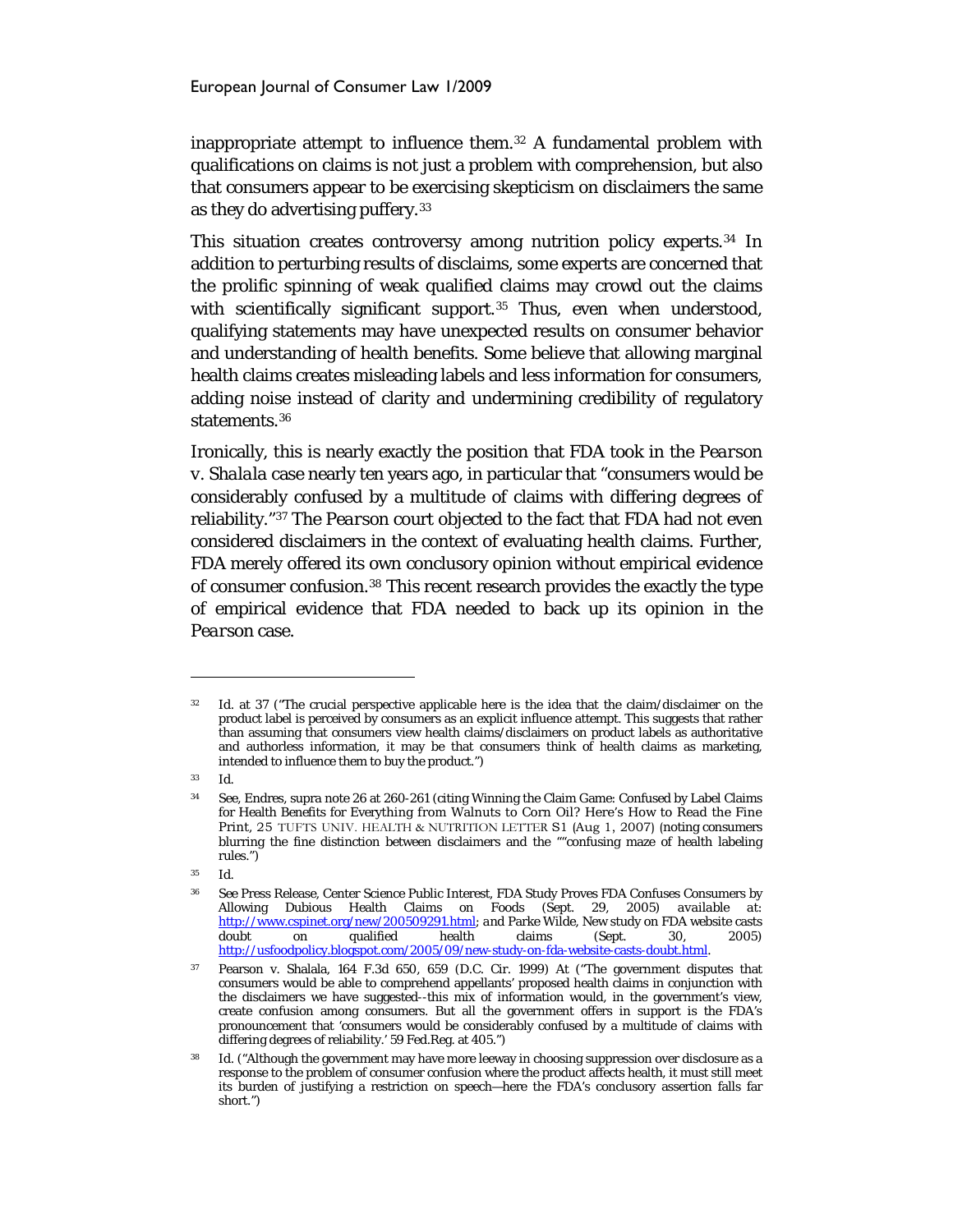inappropriate attempt to influence them.[32](#page-9-0) A fundamental problem with qualifications on claims is not just a problem with comprehension, but also that consumers appear to be exercising skepticism on disclaimers the same as they do advertising puffery.[33](#page-9-1)

This situation creates controversy among nutrition policy experts.[34](#page-9-2) In addition to perturbing results of disclaims, some experts are concerned that the prolific spinning of weak qualified claims may crowd out the claims with scientifically significant support.<sup>[35](#page-9-3)</sup> Thus, even when understood, qualifying statements may have unexpected results on consumer behavior and understanding of health benefits. Some believe that allowing marginal health claims creates misleading labels and less information for consumers, adding noise instead of clarity and undermining credibility of regulatory statements.<sup>[36](#page-9-4)</sup>

Ironically, this is nearly exactly the position that FDA took in the *Pearson v. Shalala* case nearly ten years ago, in particular that "consumers would be considerably confused by a multitude of claims with differing degrees of reliability."[37](#page-9-5) The *Pearson* court objected to the fact that FDA had not even considered disclaimers in the context of evaluating health claims. Further, FDA merely offered its own conclusory opinion without empirical evidence of consumer confusion.[38](#page-9-6) This recent research provides the exactly the type of empirical evidence that FDA needed to back up its opinion in the *Pearson* case.

<span id="page-9-1"></span><sup>33</sup> Id.

<span id="page-9-0"></span>Id. at 37 ("The crucial perspective applicable here is the idea that the claim/disclaimer on the product label is perceived by consumers as an explicit influence attempt. This suggests that rather than assuming that consumers view health claims/disclaimers on product labels as authoritative and authorless information, it may be that consumers think of health claims as marketing, intended to influence them to buy the product.")

<span id="page-9-2"></span><sup>34</sup> See, Endres, supra not[e 26](#page-8-7) at 260-261 (citing Winning the Claim Game: Confused by Label Claims for Health Benefits for Everything from Walnuts to Corn Oil? Here's How to Read the Fine Print, 25 TUFTS UNIV. HEALTH & NUTRITION LETTER S1 (Aug 1, 2007) (noting consumers blurring the fine distinction between disclaimers and the ""confusing maze of health labeling rules.")

<span id="page-9-4"></span><span id="page-9-3"></span><sup>35</sup> Id.

<sup>36</sup> *See* Press Release, Center Science Public Interest, FDA Study Proves FDA Confuses Consumers by Allowing Dubious Health Claims on Foods (Sept. 29, 2005) *available at*: [http://www.cspinet.org/new/200509291.html;](http://www.cspinet.org/new/200509291.html) *and* Parke Wilde, New study on FDA website casts doubt on qualified health claims (Sept. 30, 2005) [http://usfoodpolicy.blogspot.com/2005/09/new-study-on-fda-website-casts-doubt.html.](http://usfoodpolicy.blogspot.com/2005/09/new-study-on-fda-website-casts-doubt.html) 

<span id="page-9-5"></span><sup>37</sup> Pearson v. Shalala, 164 F.3d 650, 659 (D.C. Cir. 1999) At ("The government disputes that consumers would be able to comprehend appellants' proposed health claims in conjunction with the disclaimers we have suggested--this mix of information would, in the government's view, create confusion among consumers. But all the government offers in support is the FDA's pronouncement that 'consumers would be considerably confused by a multitude of claims with differing degrees of reliability.' 59 Fed.Reg. at 405.")

<span id="page-9-6"></span>Id. ("Although the government may have more leeway in choosing suppression over disclosure as a response to the problem of consumer confusion where the product affects health, it must still meet its burden of justifying a restriction on speech—here the FDA's conclusory assertion falls far short.")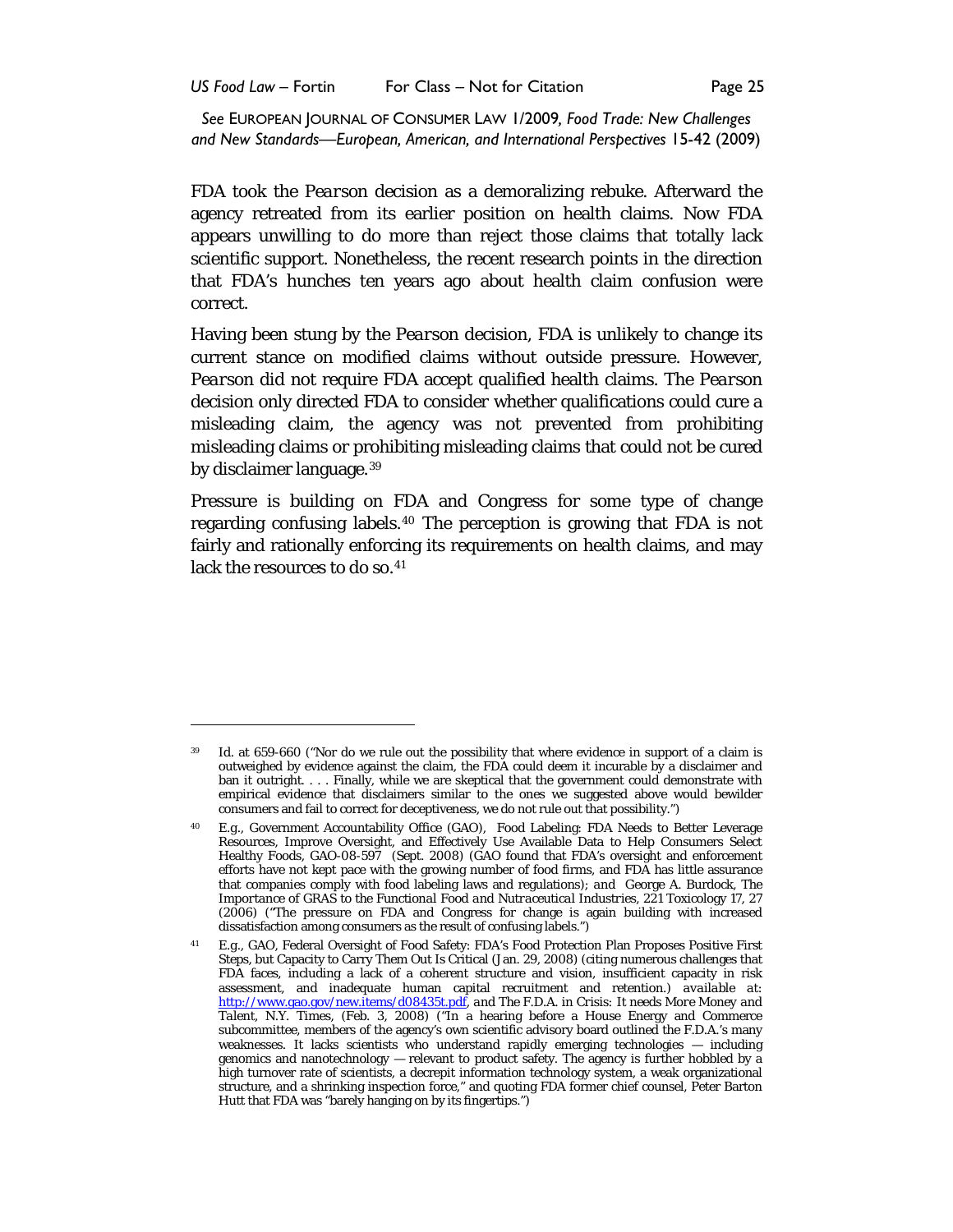*US Food Law* – Fortin For Class – Not for Citation Page 25

*See* EUROPEAN JOURNAL OF CONSUMER LAW 1/2009*, Food Trade: New Challenges and New Standards—European, American, and International Perspectives* 15-42 (2009)

FDA took the *Pearson* decision as a demoralizing rebuke. Afterward the agency retreated from its earlier position on health claims. Now FDA appears unwilling to do more than reject those claims that totally lack scientific support. Nonetheless, the recent research points in the direction that FDA's hunches ten years ago about health claim confusion were correct.

Having been stung by the *Pearson* decision, FDA is unlikely to change its current stance on modified claims without outside pressure. However, *Pearson* did not require FDA accept qualified health claims. The *Pearson*  decision only directed FDA to *consider* whether qualifications could cure a misleading claim, the agency was not prevented from prohibiting misleading claims or prohibiting misleading claims that could not be cured by disclaimer language.[39](#page-10-0)

Pressure is building on FDA and Congress for some type of change regarding confusing labels.[40](#page-10-1) The perception is growing that FDA is not fairly and rationally enforcing its requirements on health claims, and may lack the resources to do so.<sup>[41](#page-10-2)</sup>

<span id="page-10-0"></span><sup>39</sup> *Id*. at 659-660 ("Nor do we rule out the possibility that where evidence in support of a claim is outweighed by evidence against the claim, the FDA could deem it incurable by a disclaimer and ban it outright. . . . Finally, while we are skeptical that the government could demonstrate with empirical evidence that disclaimers similar to the ones we suggested above would bewilder consumers and fail to correct for deceptiveness, we do not rule out that possibility.")

<span id="page-10-1"></span><sup>40</sup> *E.g*., Government Accountability Office (GAO), Food Labeling: FDA Needs to Better Leverage Resources, Improve Oversight, and Effectively Use Available Data to Help Consumers Select Healthy Foods, GAO-08-597 (Sept. 2008) (GAO found that FDA's oversight and enforcement efforts have not kept pace with the growing number of food firms, and FDA has little assurance that companies comply with food labeling laws and regulations); *and* George A. Burdock, *The Importance of GRAS to the Functional Food and Nutraceutical Industries*, 221 Toxicology 17, 27 (2006) ("The pressure on FDA and Congress for change is again building with increased dissatisfaction among consumers as the result of confusing labels.")

<span id="page-10-2"></span><sup>41</sup> *E.g.,* GAO, Federal Oversight of Food Safety: FDA's Food Protection Plan Proposes Positive First Steps, but Capacity to Carry Them Out Is Critical (Jan. 29, 2008) (citing numerous challenges that FDA faces, including a lack of a coherent structure and vision, insufficient capacity in risk assessment, and inadequate human capital recruitment and retention.) *available at*: [http://www.gao.gov/new.items/d08435t.pdf,](http://www.gao.gov/new.items/d08435t.pdf) *and The F.D.A. in Crisis: It needs More Money and Talent*, N.Y. Times, (Feb. 3, 2008) ("In a hearing before a House Energy and Commerce subcommittee, members of the agency's own scientific advisory board outlined the F.D.A.'s many weaknesses. It lacks scientists who understand rapidly emerging technologies — including genomics and nanotechnology — relevant to product safety. The agency is further hobbled by a high turnover rate of scientists, a decrepit information technology system, a weak organizational structure, and a shrinking inspection force," and quoting FDA former chief counsel, Peter Barton Hutt that FDA was "barely hanging on by its fingertips.")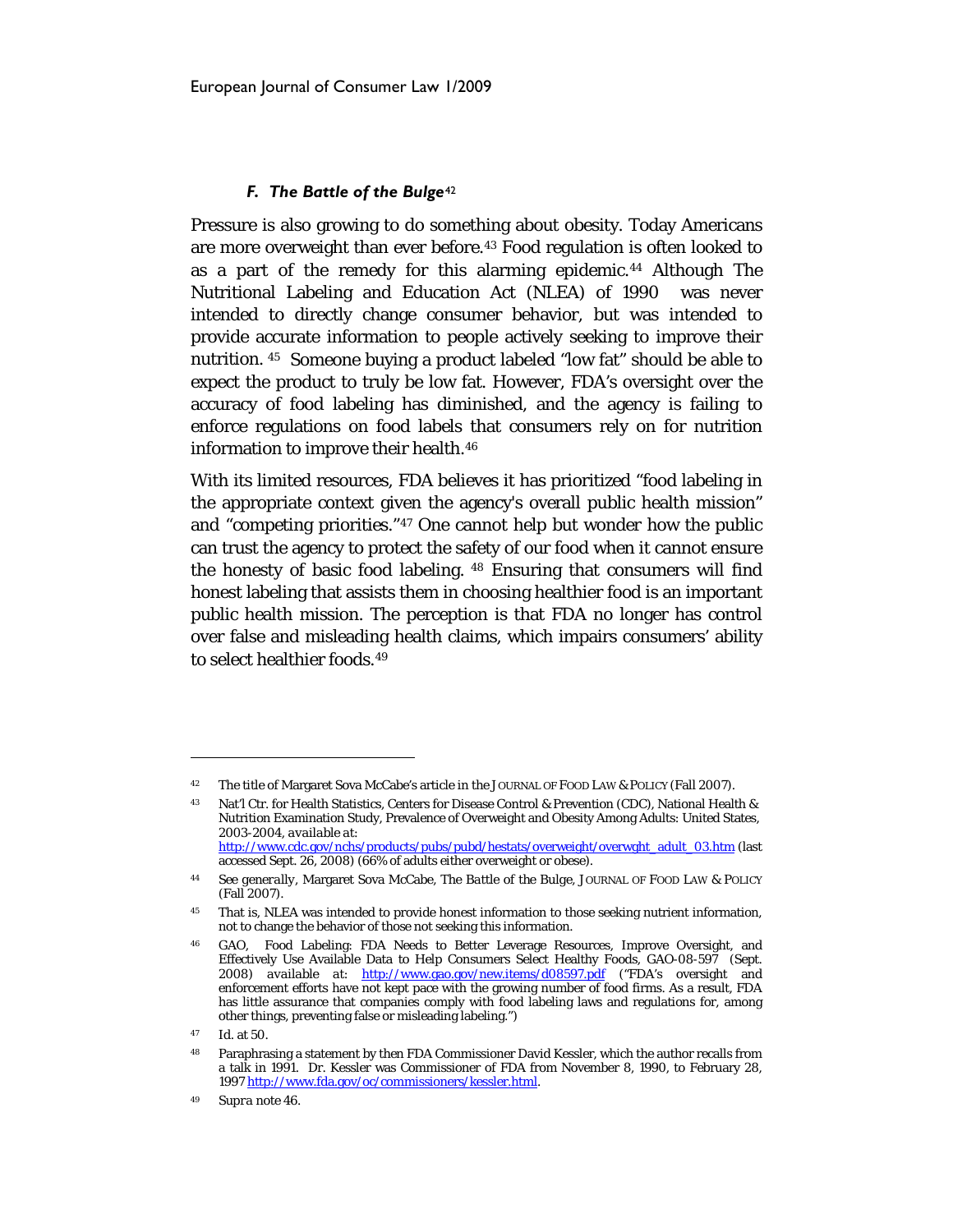## *F. The Battle of the Bulge*[42](#page-11-1)

Pressure is also growing to do something about obesity. Today Americans are more overweight than ever before.[43](#page-11-2) Food regulation is often looked to as a part of the remedy for this alarming epidemic.[44](#page-11-3) Although The Nutritional Labeling and Education Act (NLEA) of 1990 was never intended to directly change consumer behavior, but was intended to provide accurate information to people actively seeking to improve their nutrition. [45](#page-11-4) Someone buying a product labeled "low fat" should be able to expect the product to truly be low fat. However, FDA's oversight over the accuracy of food labeling has diminished, and the agency is failing to enforce regulations on food labels that consumers rely on for nutrition information to improve their health.<sup>[46](#page-11-5)</sup>

<span id="page-11-0"></span>With its limited resources, FDA believes it has prioritized "food labeling in the appropriate context given the agency's overall public health mission" and "competing priorities."[47](#page-11-6) One cannot help but wonder how the public can trust the agency to protect the safety of our food when it cannot ensure the honesty of basic food labeling. [48](#page-11-7) Ensuring that consumers will find honest labeling that assists them in choosing healthier food is an important public health mission. The perception is that FDA no longer has control over false and misleading health claims, which impairs consumers' ability to select healthier foods.[49](#page-11-8)

<span id="page-11-1"></span><sup>42</sup> The title of Margaret Sova McCabe's article in the JOURNAL OF FOOD LAW & POLICY (Fall 2007).

<span id="page-11-2"></span><sup>43</sup> Nat'l Ctr. for Health Statistics, Centers for Disease Control & Prevention (CDC), National Health & Nutrition Examination Study, Prevalence of Overweight and Obesity Among Adults: United States, 2003-2004, *available at*:

[http://www.cdc.gov/nchs/products/pubs/pubd/hestats/overweight/overwght\\_adult\\_03.htm](http://www.cdc.gov/nchs/products/pubs/pubd/hestats/overweight/overwght_adult_03.htm) (last accessed Sept. 26, 2008) (66% of adults either overweight or obese).

<span id="page-11-3"></span><sup>44</sup> *See generally,* Margaret Sova McCabe, *The Battle of the Bulge*, JOURNAL OF FOOD LAW & POLICY (Fall 2007).

<span id="page-11-4"></span><sup>&</sup>lt;sup>45</sup> That is, NLEA was intended to provide honest information to those seeking nutrient information, not to change the behavior of those not seeking this information.

<span id="page-11-5"></span><sup>46</sup> GAO, Food Labeling: FDA Needs to Better Leverage Resources, Improve Oversight, and Effectively Use Available Data to Help Consumers Select Healthy Foods, GAO-08-597 (Sept. 2008) *available at*: <http://www.gao.gov/new.items/d08597.pdf> ("FDA's oversight and enforcement efforts have not kept pace with the growing number of food firms. As a result, FDA has little assurance that companies comply with food labeling laws and regulations for, among other things, preventing false or misleading labeling.")

<span id="page-11-6"></span><sup>47</sup> *Id*. at 50.

<span id="page-11-7"></span><sup>48</sup> Paraphrasing a statement by then FDA Commissioner David Kessler, which the author recalls from a talk in 1991. Dr. Kessler was Commissioner of FDA from November 8, 1990, to February 28, 199[7 http://www.fda.gov/oc/commissioners/kessler.html.](http://www.fda.gov/oc/commissioners/kessler.html)

<span id="page-11-8"></span><sup>49</sup> *Supra* not[e 46.](#page-11-0)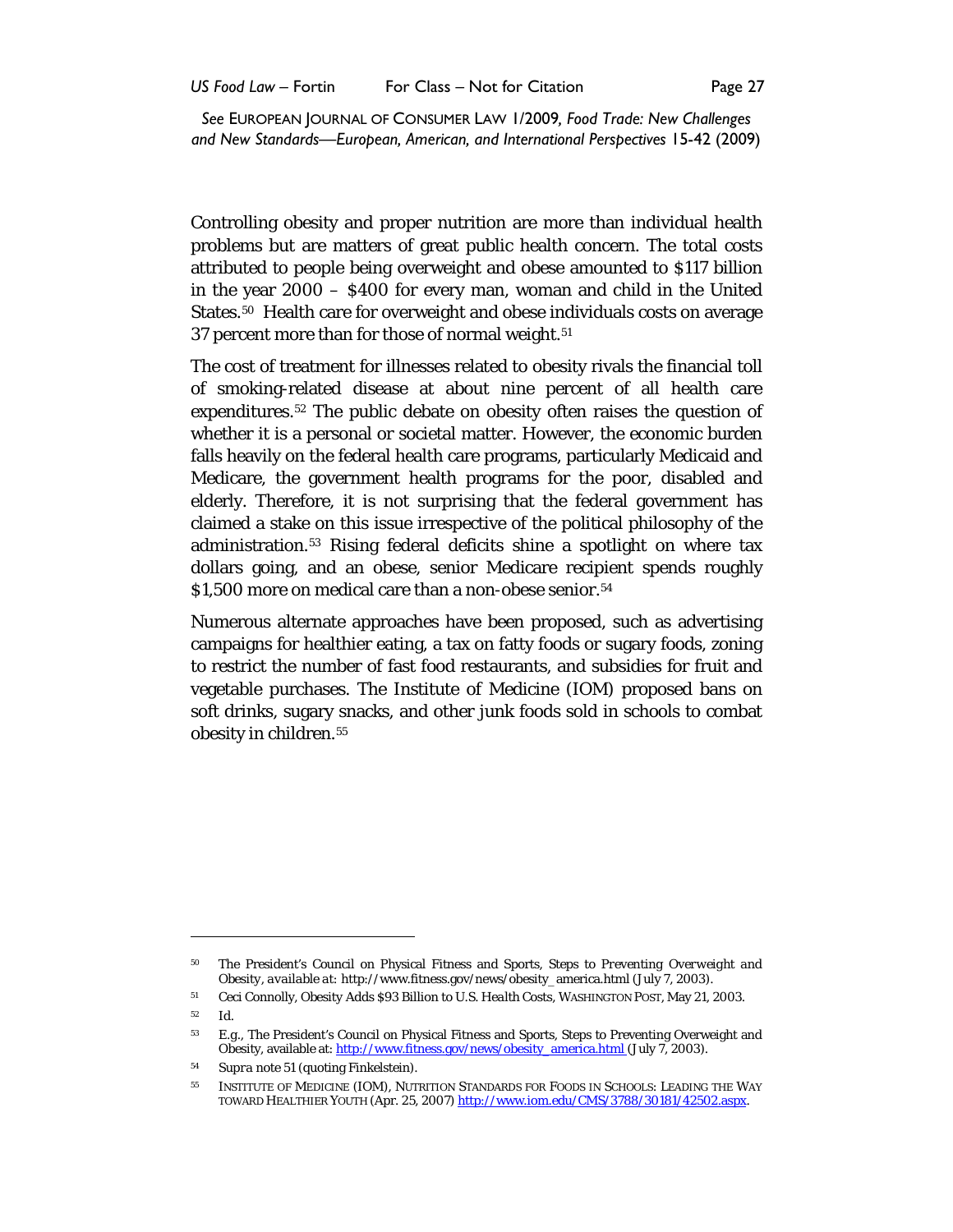Controlling obesity and proper nutrition are more than individual health problems but are matters of great public health concern. The total costs attributed to people being overweight and obese amounted to \$117 billion in the year 2000 – \$400 for every man, woman and child in the United States.<sup>[50](#page-12-1)</sup> Health care for overweight and obese individuals costs on average 37 percent more than for those of normal weight.<sup>[51](#page-12-2)</sup>

<span id="page-12-0"></span>The cost of treatment for illnesses related to obesity rivals the financial toll of smoking-related disease at about nine percent of all health care expenditures.[52](#page-12-3) The public debate on obesity often raises the question of whether it is a personal or societal matter. However, the economic burden falls heavily on the federal health care programs, particularly Medicaid and Medicare, the government health programs for the poor, disabled and elderly. Therefore, it is not surprising that the federal government has claimed a stake on this issue irrespective of the political philosophy of the administration.[53](#page-12-4) Rising federal deficits shine a spotlight on where tax dollars going, and an obese, senior Medicare recipient spends roughly \$1,500 more on medical care than a non-obese senior.<sup>[54](#page-12-5)</sup>

Numerous alternate approaches have been proposed, such as advertising campaigns for healthier eating, a tax on fatty foods or sugary foods, zoning to restrict the number of fast food restaurants, and subsidies for fruit and vegetable purchases. The Institute of Medicine (IOM) proposed bans on soft drinks, sugary snacks, and other junk foods sold in schools to combat obesity in children.<sup>[55](#page-12-6)</sup>

<span id="page-12-1"></span><sup>50</sup> The President's Council on Physical Fitness and Sports, *Steps to Preventing Overweight and Obesity*, *available at:* http://www.fitness.gov/news/obesity\_america.html (July 7, 2003).

<span id="page-12-2"></span><sup>51</sup> Ceci Connolly, *Obesity Adds \$93 Billion to U.S. Health Costs*, WASHINGTON POST, May 21, 2003.

<span id="page-12-3"></span><sup>52</sup> *Id*.

<span id="page-12-4"></span><sup>53</sup> *E.g.*, The President's Council on Physical Fitness and Sports, Steps to Preventing Overweight and Obesity, available at: [http://www.fitness.gov/news/obesity\\_america.html](http://www.fitness.gov/news/obesity_america.html) (July 7, 2003).

<span id="page-12-5"></span><sup>54</sup> *Supra* not[e 51](#page-12-0) (quoting Finkelstein).

<span id="page-12-6"></span><sup>55</sup> INSTITUTE OF MEDICINE (IOM), NUTRITION STANDARDS FOR FOODS IN SCHOOLS: LEADING THE WAY TOWARD HEALTHIER YOUTH (Apr. 25, 2007) [http://www.iom.edu/CMS/3788/30181/42502.aspx.](http://www.iom.edu/CMS/3788/30181/42502.aspx)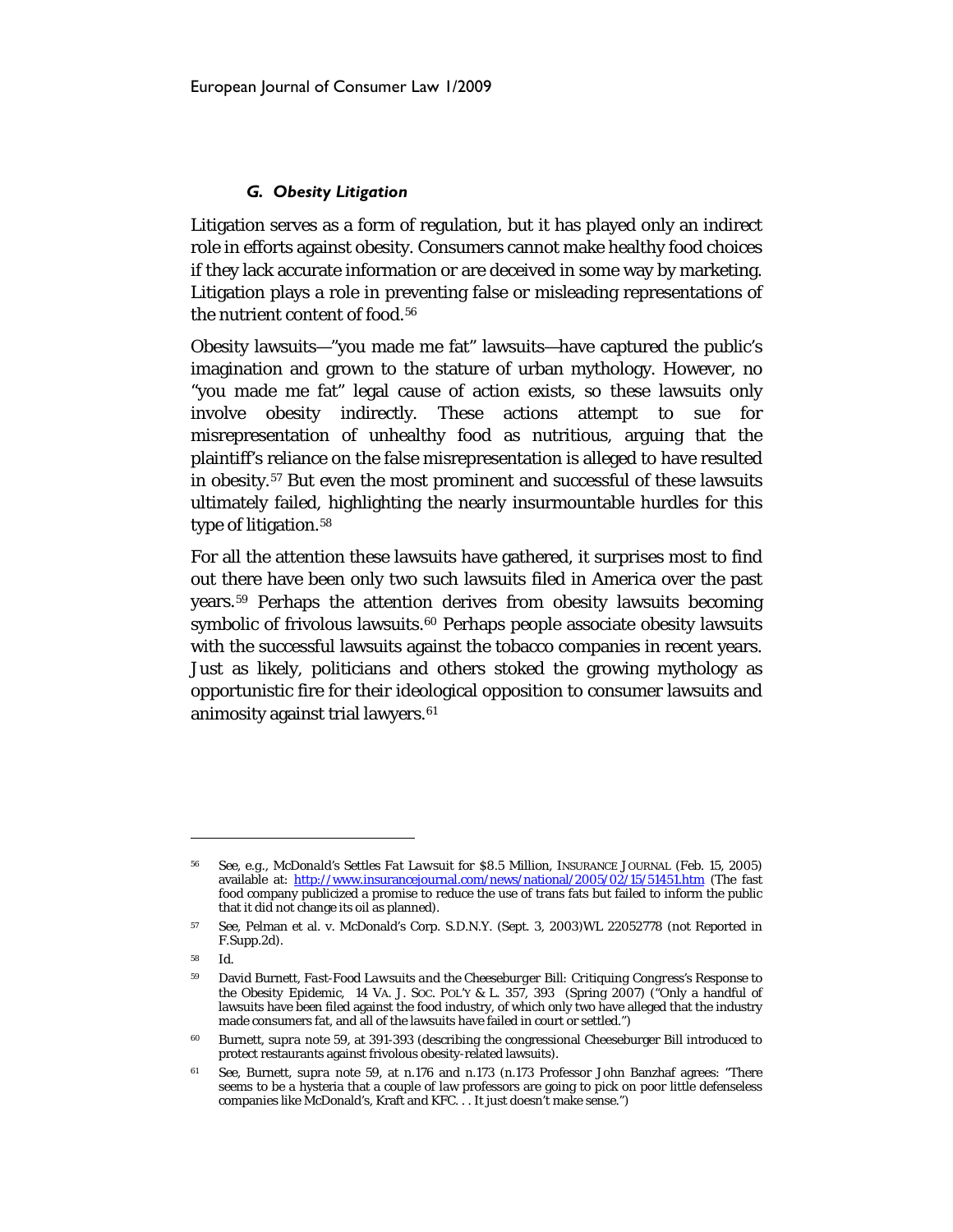## <span id="page-13-7"></span>*G. Obesity Litigation*

Litigation serves as a form of regulation, but it has played only an indirect role in efforts against obesity. Consumers cannot make healthy food choices if they lack accurate information or are deceived in some way by marketing. Litigation plays a role in preventing false or misleading representations of the nutrient content of food.<sup>[56](#page-13-1)</sup>

Obesity lawsuits—"you made me fat" lawsuits—have captured the public's imagination and grown to the stature of urban mythology. However, no "you made me fat" legal cause of action exists, so these lawsuits only involve obesity indirectly. These actions attempt to sue for misrepresentation of unhealthy food as nutritious, arguing that the plaintiff's reliance on the false misrepresentation is alleged to have resulted in obesity.[57](#page-13-2) But even the most prominent and successful of these lawsuits ultimately failed, highlighting the nearly insurmountable hurdles for this type of litigation.<sup>58</sup>

<span id="page-13-0"></span>For all the attention these lawsuits have gathered, it surprises most to find out there have been only two such lawsuits filed in America over the past years.[59](#page-13-4) Perhaps the attention derives from obesity lawsuits becoming symbolic of frivolous lawsuits.<sup>[60](#page-13-5)</sup> Perhaps people associate obesity lawsuits with the successful lawsuits against the tobacco companies in recent years. Just as likely, politicians and others stoked the growing mythology as opportunistic fire for their ideological opposition to consumer lawsuits and animosity against trial lawyers.<sup>[61](#page-13-6)</sup>

<span id="page-13-1"></span><sup>56</sup> *See, e.g*., *McDonald's Settles Fat Lawsuit for \$8.5 Million*, INSURANCE JOURNAL (Feb. 15, 2005) available at: <http://www.insurancejournal.com/news/national/2005/02/15/51451.htm> (The fast food company publicized a promise to reduce the use of trans fats but failed to inform the public that it did not change its oil as planned).

<span id="page-13-2"></span><sup>57</sup> *See*, Pelman et al. v. McDonald's Corp. S.D.N.Y. (Sept. 3, 2003)WL 22052778 (not Reported in F.Supp.2d).

<span id="page-13-4"></span><span id="page-13-3"></span><sup>58</sup> Id.

<sup>59</sup> David Burnett, *Fast-Food Lawsuits and the Cheeseburger Bill: Critiquing Congress's Response to the Obesity Epidemic*, 14 VA. J. SOC. POL'Y & L. 357, 393 (Spring 2007) ("Only a handful of lawsuits have been filed against the food industry, of which only two have alleged that the industry made consumers fat, and all of the lawsuits have failed in court or settled.")

<span id="page-13-5"></span><sup>60</sup> Burnett, *supra* note [59,](#page-13-0) at 391-393 (describing the congressional Cheeseburger Bill introduced to protect restaurants against frivolous obesity-related lawsuits).

<span id="page-13-6"></span><sup>61</sup> *See*, Burnett, *supra* note [59,](#page-13-0) at n.176 and n.173 (n.173 Professor John Banzhaf agrees: "There seems to be a hysteria that a couple of law professors are going to pick on poor little defenseless companies like McDonald's, Kraft and KFC. . . It just doesn't make sense.")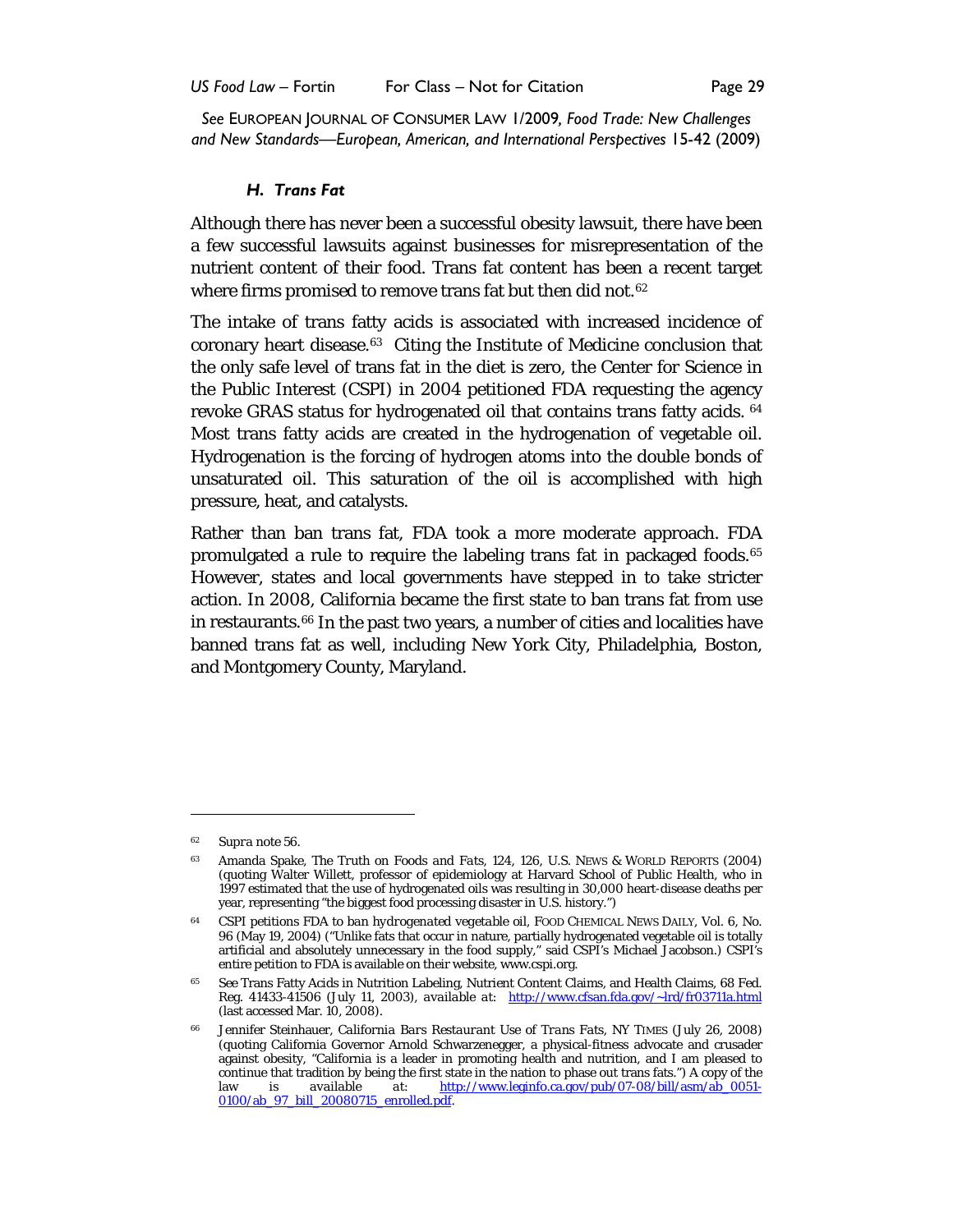#### *H. Trans Fat*

Although there has never been a successful obesity lawsuit, there have been a few successful lawsuits against businesses for misrepresentation of the nutrient content of their food. Trans fat content has been a recent target where firms promised to remove trans fat but then did not.<sup>[62](#page-14-0)</sup>

The intake of trans fatty acids is associated with increased incidence of coronary heart disease.<sup>[63](#page-14-1)</sup> Citing the Institute of Medicine conclusion that the only safe level of trans fat in the diet is zero, the Center for Science in the Public Interest (CSPI) in 2004 petitioned FDA requesting the agency revoke GRAS status for hydrogenated oil that contains trans fatty acids. [64](#page-14-2) Most trans fatty acids are created in the hydrogenation of vegetable oil. Hydrogenation is the forcing of hydrogen atoms into the double bonds of unsaturated oil. This saturation of the oil is accomplished with high pressure, heat, and catalysts.

Rather than ban trans fat, FDA took a more moderate approach. FDA promulgated a rule to require the labeling trans fat in packaged foods. [65](#page-14-3) However, states and local governments have stepped in to take stricter action. In 2008, California became the first state to ban trans fat from use in restaurants.<sup>[66](#page-14-4)</sup> In the past two years, a number of cities and localities have banned trans fat as well, including New York City, Philadelphia, Boston, and Montgomery County, Maryland.

<sup>62</sup> *Supra* note [56.](#page-13-7)

<span id="page-14-1"></span><span id="page-14-0"></span><sup>63</sup> Amanda Spake, *The Truth on Foods and Fats*, 124, 126, U.S. NEWS & WORLD REPORTS (2004) (quoting Walter Willett, professor of epidemiology at Harvard School of Public Health, who in 1997 estimated that the use of hydrogenated oils was resulting in 30,000 heart-disease deaths per year, representing "the biggest food processing disaster in U.S. history.")

<span id="page-14-2"></span><sup>64</sup> *CSPI petitions FDA to ban hydrogenated vegetable oil*, FOOD CHEMICAL NEWS DAILY, Vol. 6, No. 96 (May 19, 2004) ("Unlike fats that occur in nature, partially hydrogenated vegetable oil is totally artificial and absolutely unnecessary in the food supply," said CSPI's Michael Jacobson.) CSPI's entire petition to FDA is available on their website, www.cspi.org.

<span id="page-14-3"></span><sup>65</sup> *See* Trans Fatty Acids in Nutrition Labeling, Nutrient Content Claims, and Health Claims, 68 Fed. Reg. 41433-41506 (July 11, 2003), *available at*: <http://www.cfsan.fda.gov/~lrd/fr03711a.html> (last accessed Mar. 10, 2008).

<span id="page-14-4"></span><sup>66</sup> Jennifer Steinhauer, *California Bars Restaurant Use of Trans Fats*, NY TIMES (July 26, 2008) (quoting California Governor Arnold Schwarzenegger, a physical-fitness advocate and crusader against obesity, "California is a leader in promoting health and nutrition, and I am pleased to continue that tradition by being the first state in the nation to phase out trans fats.") A copy of the law is *available at*: [http://www.leginfo.ca.gov/pub/07-08/bill/asm/ab\\_0051-](http://www.leginfo.ca.gov/pub/07-08/bill/asm/ab_0051-0100/ab_97_bill_20080715_enrolled.pdf) [0100/ab\\_97\\_bill\\_20080715\\_enrolled.pdf.](http://www.leginfo.ca.gov/pub/07-08/bill/asm/ab_0051-0100/ab_97_bill_20080715_enrolled.pdf)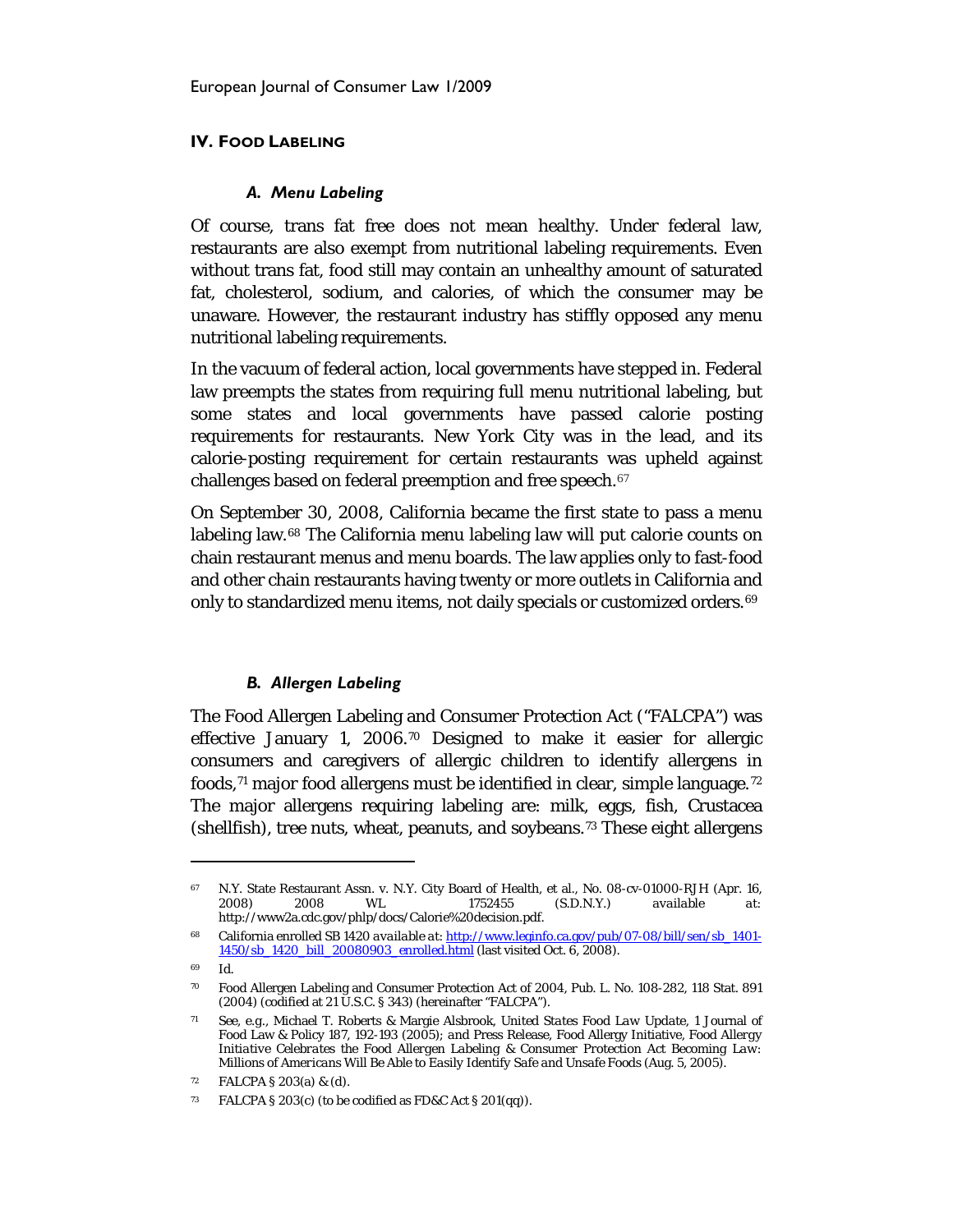## **IV. FOOD LABELING**

#### *A. Menu Labeling*

Of course, trans fat free does not mean healthy. Under federal law, restaurants are also exempt from nutritional labeling requirements. Even without trans fat, food still may contain an unhealthy amount of saturated fat, cholesterol, sodium, and calories, of which the consumer may be unaware. However, the restaurant industry has stiffly opposed any menu nutritional labeling requirements.

In the vacuum of federal action, local governments have stepped in. Federal law preempts the states from requiring full menu nutritional labeling, but some states and local governments have passed calorie posting requirements for restaurants. New York City was in the lead, and its calorie-posting requirement for certain restaurants was upheld against challenges based on federal preemption and free speech.<sup>67</sup>

On September 30, 2008, California became the first state to pass a menu labeling law.[68](#page-15-1) The California menu labeling law will put calorie counts on chain restaurant menus and menu boards. The law applies only to fast-food and other chain restaurants having twenty or more outlets in California and only to standardized menu items, not daily specials or customized orders.<sup>[69](#page-15-2)</sup>

## *B. Allergen Labeling*

The Food Allergen Labeling and Consumer Protection Act ("FALCPA") was effective January 1, 2006.[70](#page-15-3) Designed to make it easier for allergic consumers and caregivers of allergic children to identify allergens in foods,  $71$  major food allergens must be identified in clear, simple language.  $72$ The major allergens requiring labeling are: milk, eggs, fish, Crustacea (shellfish), tree nuts, wheat, peanuts, and soybeans.[73](#page-15-6) These eight allergens

<span id="page-15-0"></span><sup>&</sup>lt;sup>67</sup> N.Y. State Restaurant Assn. v. N.Y. City Board of Health, et al., No. 08-cv-01000-RJH (Apr. 16, 2008) 2008 WL 1752455 (S.D.N.Y.) *available at:* http://www2a.cdc.gov/phlp/docs/Calorie%20decision.pdf.

<span id="page-15-1"></span><sup>68</sup> California enrolled SB 1420 *available at*[: http://www.leginfo.ca.gov/pub/07-08/bill/sen/sb\\_1401-](http://www.leginfo.ca.gov/pub/07-08/bill/sen/sb_1401-1450/sb_1420_bill_20080903_enrolled.html) [1450/sb\\_1420\\_bill\\_20080903\\_enrolled.html](http://www.leginfo.ca.gov/pub/07-08/bill/sen/sb_1401-1450/sb_1420_bill_20080903_enrolled.html) (last visited Oct. 6, 2008).

<sup>69</sup> Id.

<span id="page-15-3"></span><span id="page-15-2"></span><sup>70</sup> Food Allergen Labeling and Consumer Protection Act of 2004, Pub. L. No. 108-282, 118 Stat. 891 (2004) (codified at 21 U.S.C. § 343) (hereinafter "FALCPA").

<span id="page-15-4"></span><sup>71</sup> *See, e.g.,* Michael T. Roberts & Margie Alsbrook, *United States Food Law Update*, 1 Journal of Food Law & Policy 187, 192-193 (2005); *and* Press Release, Food Allergy Initiative, *Food Allergy Initiative Celebrates the Food Allergen Labeling & Consumer Protection Act Becoming Law: Millions of Americans Will Be Able to Easily Identify Safe and Unsafe Food*s (Aug. 5, 2005).

<span id="page-15-5"></span><sup>72</sup> FALCPA § 203(a) & (d).

<span id="page-15-6"></span>FALCPA § 203(c) (to be codified as FD&C Act § 201(qq)).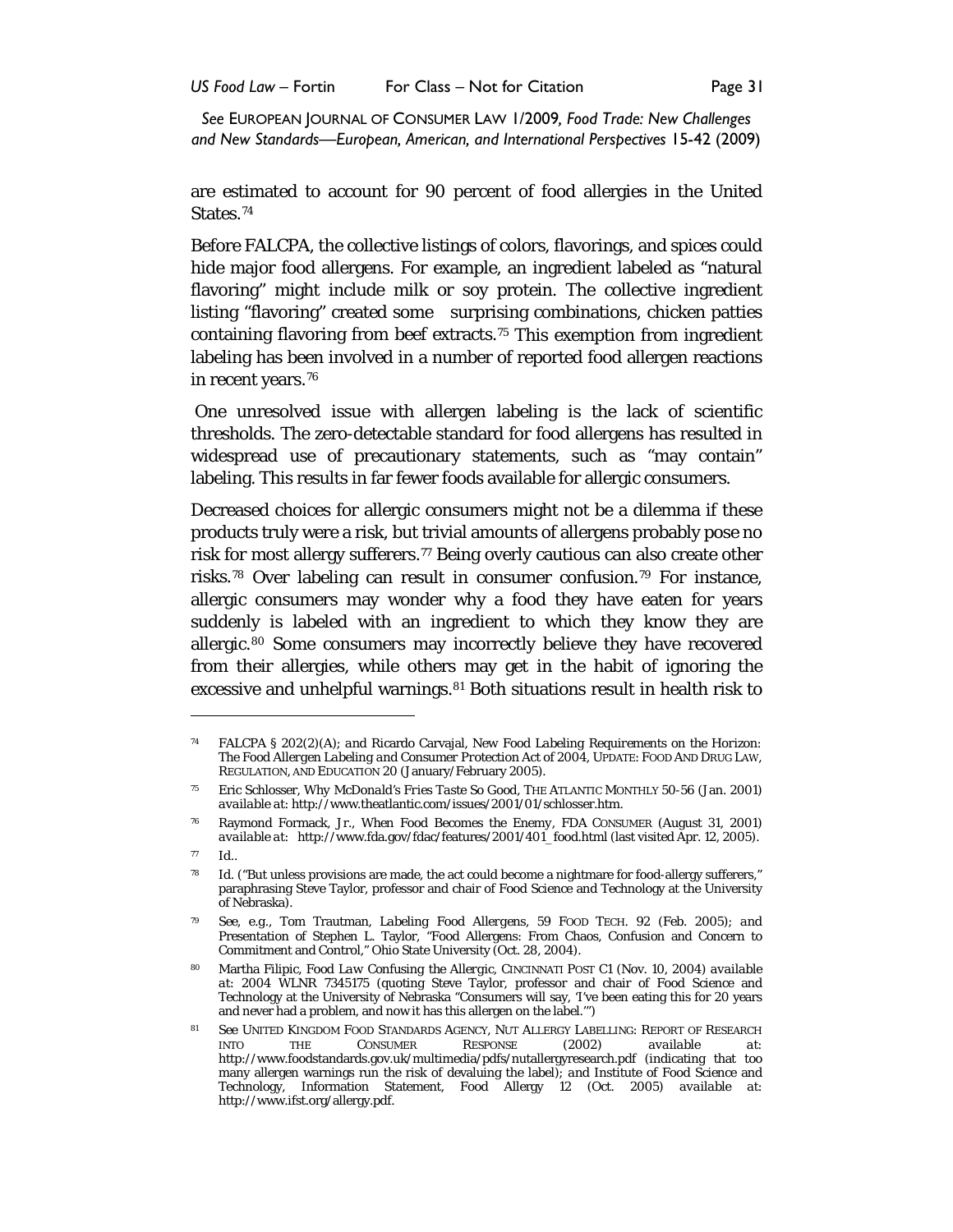are estimated to account for 90 percent of food allergies in the United States.[74](#page-16-0)

Before FALCPA, the collective listings of colors, flavorings, and spices could hide major food allergens. For example, an ingredient labeled as "natural flavoring" might include milk or soy protein. The collective ingredient listing "flavoring" created some surprising combinations, chicken patties containing flavoring from beef extracts.[75](#page-16-1) This exemption from ingredient labeling has been involved in a number of reported food allergen reactions in recent years.[76](#page-16-2)

One unresolved issue with allergen labeling is the lack of scientific thresholds. The zero-detectable standard for food allergens has resulted in widespread use of precautionary statements, such as "may contain" labeling. This results in far fewer foods available for allergic consumers.

Decreased choices for allergic consumers might not be a dilemma if these products truly were a risk, but trivial amounts of allergens probably pose no risk for most allergy sufferers.<sup>[77](#page-16-3)</sup> Being overly cautious can also create other risks.[78](#page-16-4) Over labeling can result in consumer confusion.[79](#page-16-5) For instance, allergic consumers may wonder why a food they have eaten for years suddenly is labeled with an ingredient to which they know they are allergic.[80](#page-16-6) Some consumers may incorrectly believe they have recovered from their allergies, while others may get in the habit of ignoring the excessive and unhelpful warnings.<sup>[81](#page-16-7)</sup> Both situations result in health risk to

<span id="page-16-0"></span><sup>74</sup> FALCPA § 202(2)(A); *and* Ricardo Carvajal, *New Food Labeling Requirements on the Horizon: The Food Allergen Labeling and Consumer Protection Act of 2004*, UPDATE: FOOD AND DRUG LAW, REGULATION, AND EDUCATION 20 (January/February 2005).

<span id="page-16-1"></span><sup>75</sup> Eric Schlosser, *Why McDonald's Fries Taste So Good*, THE ATLANTIC MONTHLY 50-56 (Jan. 2001) *available at*: http://www.theatlantic.com/issues/2001/01/schlosser.htm.

<span id="page-16-2"></span><sup>76</sup> Raymond Formack, Jr., *When Food Becomes the Enemy*, FDA CONSUMER (August 31, 2001) *available at*: http://www.fda.gov/fdac/features/2001/401\_food.html (last visited Apr. 12, 2005).

<span id="page-16-4"></span><span id="page-16-3"></span><sup>77</sup> *Id.*.

<sup>78</sup> *Id*. ("But unless provisions are made, the act could become a nightmare for food-allergy sufferers," paraphrasing Steve Taylor, professor and chair of Food Science and Technology at the University of Nebraska).

<span id="page-16-5"></span><sup>79</sup> *See, e.g.,* Tom Trautman, *Labeling Food Allergens*, 59 FOOD TECH. 92 (Feb. 2005); *and*  Presentation of Stephen L. Taylor, "Food Allergens: From Chaos, Confusion and Concern to Commitment and Control," Ohio State University (Oct. 28, 2004).

<span id="page-16-6"></span><sup>80</sup> Martha Filipic, *Food Law Confusing the Allergic*, CINCINNATI POST C1 (Nov. 10, 2004) *available at*: 2004 WLNR 7345175 (quoting Steve Taylor, professor and chair of Food Science and Technology at the University of Nebraska "Consumers will say, 'I've been eating this for 20 years and never had a problem, and now it has this allergen on the label.'")

<span id="page-16-7"></span>**<sup>81</sup> See UNITED KINGDOM FOOD STANDARDS AGENCY, NUT ALLERGY LABELLING: REPORT OF RESEARCH INTO THE CONSUMER RESPONSE (2002) available at:** INTO THE CONSUMER RESPONSE (2002) *available at*: http://www.foodstandards.gov.uk/multimedia/pdfs/nutallergyresearch.pdf (indicating that too many allergen warnings run the risk of devaluing the label); *and* Institute of Food Science and Technology, Information Statement, Food Allergy 12 (Oct. 2005) *available at*: http://www.ifst.org/allergy.pdf.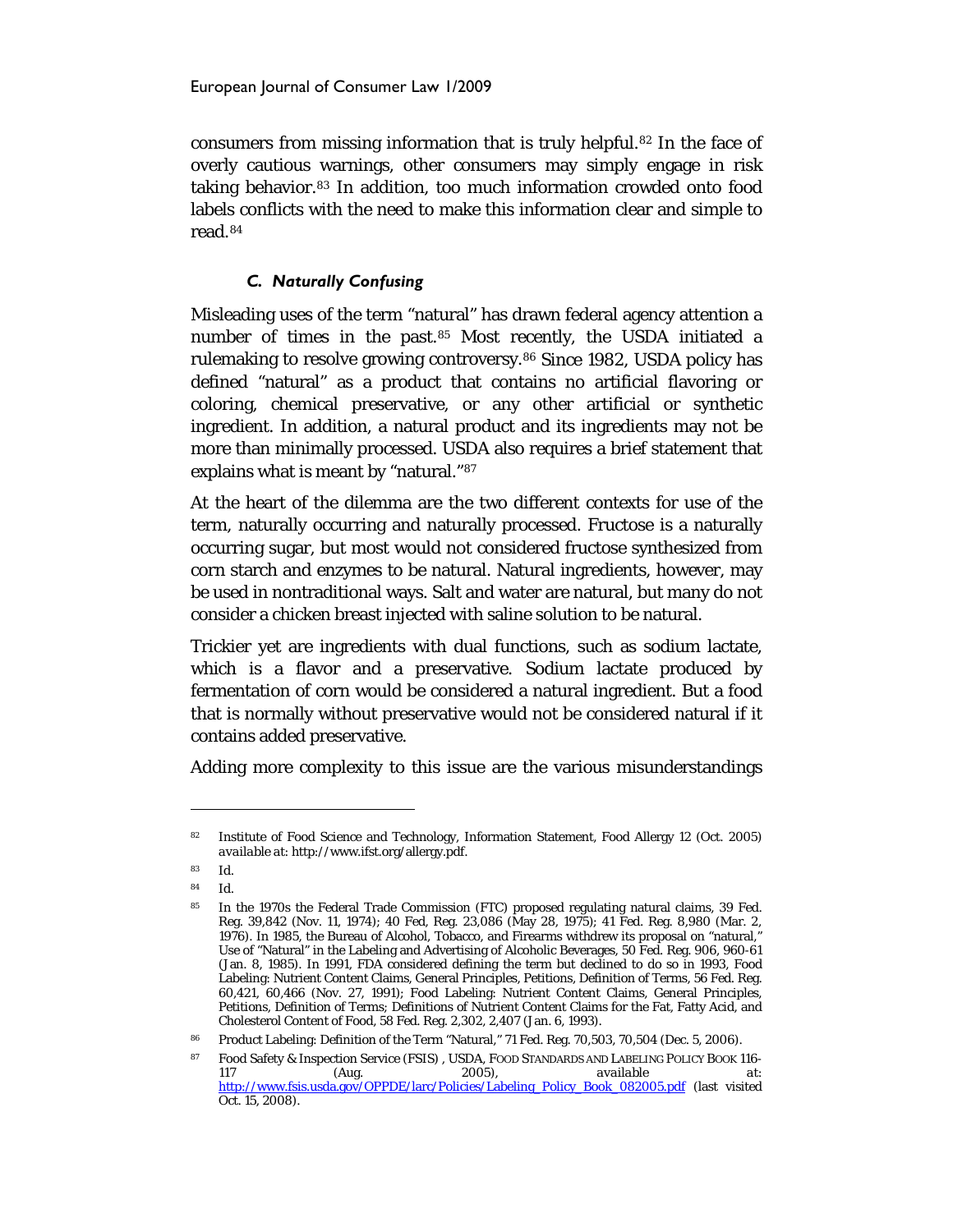consumers from missing information that is truly helpful.[82](#page-17-0) In the face of overly cautious warnings, other consumers may simply engage in risk taking behavior.[83](#page-17-1) In addition, too much information crowded onto food labels conflicts with the need to make this information clear and simple to read.[84](#page-17-2)

## *C. Naturally Confusing*

Misleading uses of the term "natural" has drawn federal agency attention a number of times in the past.[85](#page-17-3) Most recently, the USDA initiated a rulemaking to resolve growing controversy.<sup>[86](#page-17-4)</sup> Since 1982, USDA policy has defined "natural" as a product that contains no artificial flavoring or coloring, chemical preservative, or any other artificial or synthetic ingredient. In addition, a natural product and its ingredients may not be more than minimally processed. USDA also requires a brief statement that explains what is meant by "natural."[87](#page-17-5)

At the heart of the dilemma are the two different contexts for use of the term, naturally occurring and naturally processed. Fructose is a naturally occurring sugar, but most would not considered fructose synthesized from corn starch and enzymes to be natural. Natural ingredients, however, may be used in nontraditional ways. Salt and water are natural, but many do not consider a chicken breast injected with saline solution to be natural.

Trickier yet are ingredients with dual functions, such as sodium lactate, which is a flavor and a preservative. Sodium lactate produced by fermentation of corn would be considered a natural ingredient. But a food that is normally without preservative would not be considered natural if it contains added preservative.

Adding more complexity to this issue are the various misunderstandings

<span id="page-17-0"></span><sup>82</sup> Institute of Food Science and Technology, Information Statement, Food Allergy 12 (Oct. 2005) *available at*: http://www.ifst.org/allergy.pdf.

<sup>83</sup> *Id.*

<span id="page-17-3"></span><span id="page-17-2"></span><span id="page-17-1"></span><sup>84</sup> *Id.*

<sup>&</sup>lt;sup>85</sup> In the 1970s the Federal Trade Commission (FTC) proposed regulating natural claims, 39 Fed. Reg. 39,842 (Nov. 11, 1974); 40 Fed, Reg. 23,086 (May 28, 1975); 41 Fed. Reg. 8,980 (Mar. 2, 1976). In 1985, the Bureau of Alcohol, Tobacco, and Firearms withdrew its proposal on "natural," Use of "Natural" in the Labeling and Advertising of Alcoholic Beverages, 50 Fed. Reg. 906, 960-61 (Jan. 8, 1985). In 1991, FDA considered defining the term but declined to do so in 1993, Food Labeling: Nutrient Content Claims, General Principles, Petitions, Definition of Terms, 56 Fed. Reg. 60,421, 60,466 (Nov. 27, 1991); Food Labeling: Nutrient Content Claims, General Principles, Petitions, Definition of Terms; Definitions of Nutrient Content Claims for the Fat, Fatty Acid, and Cholesterol Content of Food, 58 Fed. Reg. 2,302, 2,407 (Jan. 6, 1993).

<sup>86</sup> Product Labeling: Definition of the Term "Natural," 71 Fed. Reg. 70,503, 70,504 (Dec. 5, 2006).

<span id="page-17-5"></span><span id="page-17-4"></span><sup>87</sup> Food Safety & Inspection Service (FSIS) , USDA, FOOD STANDARDS AND LABELING POLICY BOOK 116-<br>117 (Aug. 2005), available at: 117 (Aug. 2005), *available at*: [http://www.fsis.usda.gov/OPPDE/larc/Policies/Labeling\\_Policy\\_Book\\_082005.pdf](http://www.fsis.usda.gov/OPPDE/larc/Policies/Labeling_Policy_Book_082005.pdf) (last visited Oct. 15, 2008).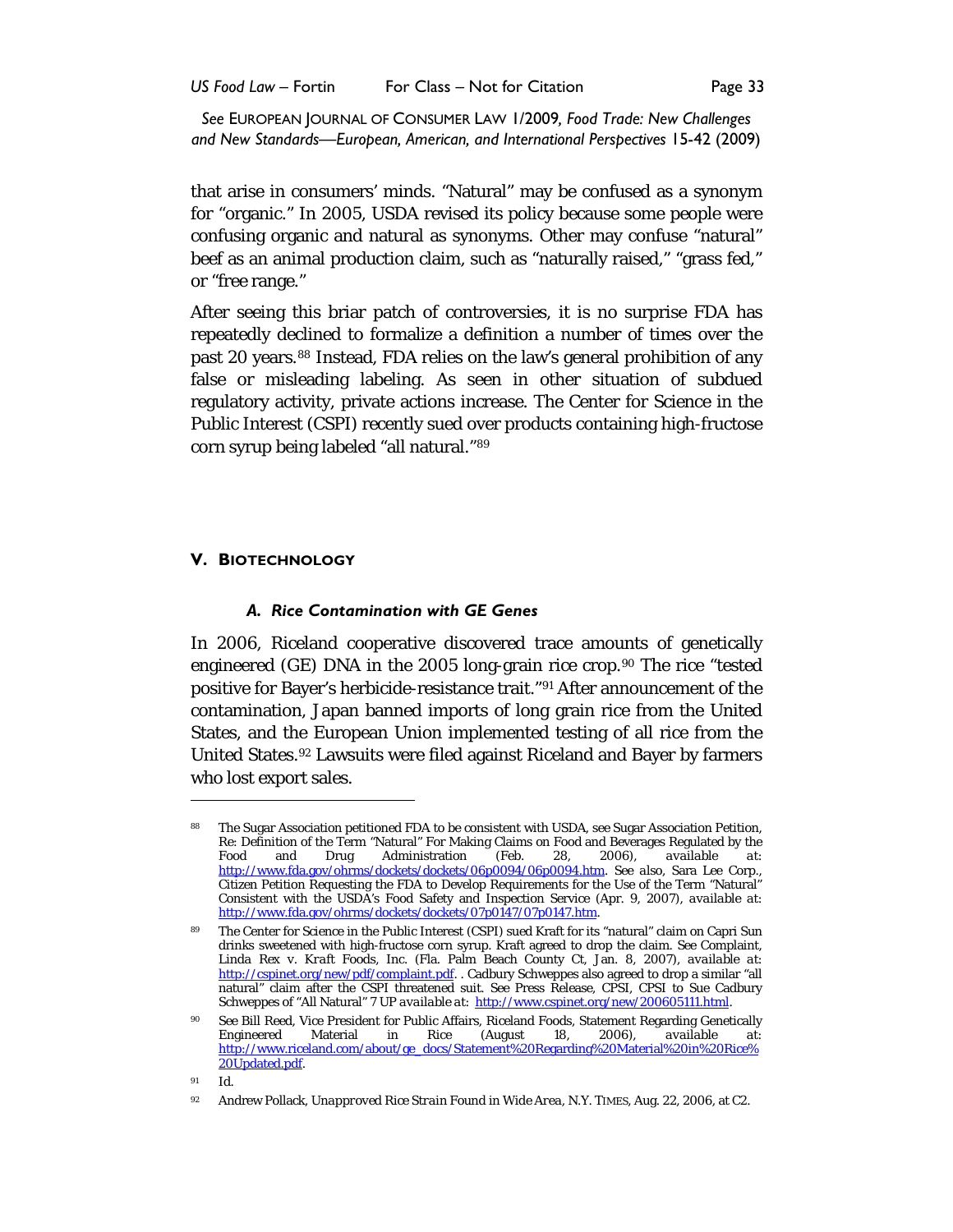that arise in consumers' minds. "Natural" may be confused as a synonym for "organic." In 2005, USDA revised its policy because some people were confusing organic and natural as synonyms. Other may confuse "natural" beef as an animal production claim, such as "naturally raised," "grass fed," or "free range."

After seeing this briar patch of controversies, it is no surprise FDA has repeatedly declined to formalize a definition a number of times over the past 20 years.<sup>[88](#page-18-0)</sup> Instead, FDA relies on the law's general prohibition of any false or misleading labeling. As seen in other situation of subdued regulatory activity, private actions increase. The Center for Science in the Public Interest (CSPI) recently sued over products containing high-fructose corn syrup being labeled "all natural."[89](#page-18-1)

## **V. BIOTECHNOLOGY**

#### *A. Rice Contamination with GE Genes*

In 2006, Riceland cooperative discovered trace amounts of genetically engineered (GE) DNA in the 2005 long-grain rice crop.<sup>[90](#page-18-2)</sup> The rice "tested positive for Bayer's herbicide-resistance trait."[91](#page-18-3) After announcement of the contamination, Japan banned imports of long grain rice from the United States, and the European Union implemented testing of all rice from the United States.[92](#page-18-4) Lawsuits were filed against Riceland and Bayer by farmers who lost export sales.

<span id="page-18-0"></span><sup>88</sup> The Sugar Association petitioned FDA to be consistent with USDA, *see* Sugar Association Petition, Re: Definition of the Term "Natural" For Making Claims on Food and Beverages Regulated by the Food and Drug Administration (Feb. 28, 2006), available at: Food and Drug Administration (Feb. 28, 2006), *available at*: [http://www.fda.gov/ohrms/dockets/dockets/06p0094/06p0094.htm.](http://www.fda.gov/ohrms/dockets/dockets/06p0094/06p0094.htm) *See also*, Sara Lee Corp., Citizen Petition Requesting the FDA to Develop Requirements for the Use of the Term "Natural" Consistent with the USDA's Food Safety and Inspection Service (Apr. 9, 2007), *available at*: [http://www.fda.gov/ohrms/dockets/dockets/07p0147/07p0147.htm.](http://www.fda.gov/ohrms/dockets/dockets/07p0147/07p0147.htm) 

<span id="page-18-1"></span><sup>89</sup> The Center for Science in the Public Interest (CSPI) sued Kraft for its "natural" claim on Capri Sun drinks sweetened with high-fructose corn syrup. Kraft agreed to drop the claim. *See* Complaint, *Linda Rex v. Kraft Foods, Inc.* (Fla. Palm Beach County Ct, Jan. 8, 2007), *available at*: [http://cspinet.org/new/pdf/complaint.pdf.](http://cspinet.org/new/pdf/complaint.pdf) . Cadbury Schweppes also agreed to drop a similar "all natural" claim after the CSPI threatened suit. *See* Press Release, CPSI, CPSI to Sue Cadbury Schweppes of "All Natural" 7 UP *available at*: [http://www.cspinet.org/new/200605111.html.](http://www.cspinet.org/new/200605111.html) 

<span id="page-18-2"></span><sup>90</sup> *See* Bill Reed, Vice President for Public Affairs, Riceland Foods, Statement Regarding Genetically Engineered Material in Rice (August 18, 2006), *available at*: [http://www.riceland.com/about/ge\\_docs/Statement%20Regarding%20Material%20in%20Rice%](http://www.riceland.com/about/ge_docs/Statement%20Regarding%20Material%20in%20Rice%20Updated.pdf) [20Updated.pdf.](http://www.riceland.com/about/ge_docs/Statement%20Regarding%20Material%20in%20Rice%20Updated.pdf)

<span id="page-18-4"></span><span id="page-18-3"></span><sup>91</sup> Id.

<sup>92</sup> Andrew Pollack, *Unapproved Rice Strain Found in Wide Area*, N.Y. TIMES, Aug. 22, 2006, at C2.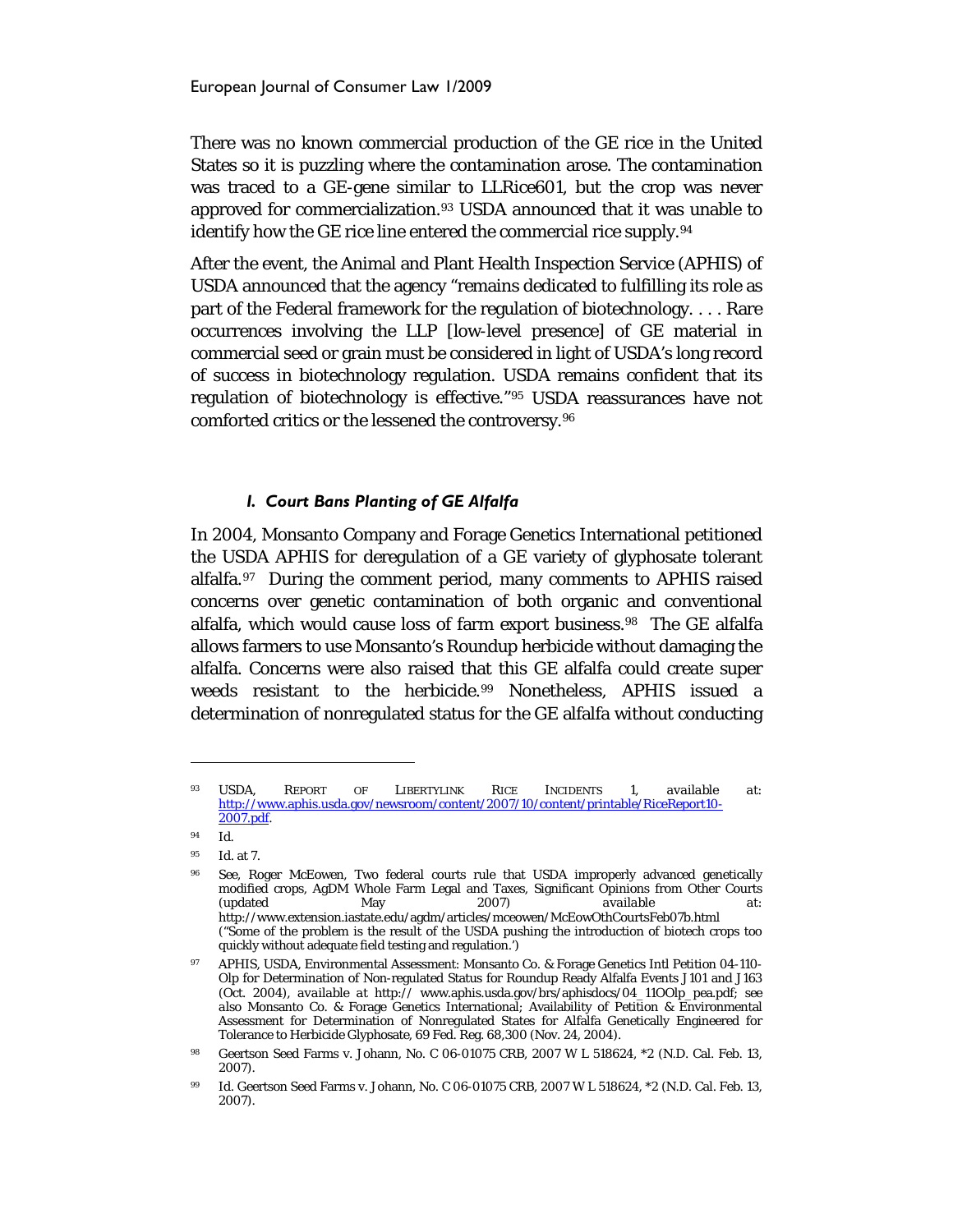There was no known commercial production of the GE rice in the United States so it is puzzling where the contamination arose. The contamination was traced to a GE-gene similar to LLRice601, but the crop was never approved for commercialization.<sup>[93](#page-19-0)</sup> USDA announced that it was unable to identify how the GE rice line entered the commercial rice supply.[94](#page-19-1)

After the event, the Animal and Plant Health Inspection Service (APHIS) of USDA announced that the agency "remains dedicated to fulfilling its role as part of the Federal framework for the regulation of biotechnology. . . . Rare occurrences involving the LLP [low-level presence] of GE material in commercial seed or grain must be considered in light of USDA's long record of success in biotechnology regulation. USDA remains confident that its regulation of biotechnology is effective.["95](#page-19-2) USDA reassurances have not comforted critics or the lessened the controversy.[96](#page-19-3)

#### *I. Court Bans Planting of GE Alfalfa*

In 2004, Monsanto Company and Forage Genetics International petitioned the USDA APHIS for deregulation of a GE variety of glyphosate tolerant alfalfa.<sup>[97](#page-19-4)</sup> During the comment period, many comments to APHIS raised concerns over genetic contamination of both organic and conventional alfalfa, which would cause loss of farm export business.<sup>98</sup> The GE alfalfa allows farmers to use Monsanto's Roundup herbicide without damaging the alfalfa. Concerns were also raised that this GE alfalfa could create super weeds resistant to the herbicide.<sup>[99](#page-19-6)</sup> Nonetheless, APHIS issued a determination of nonregulated status for the GE alfalfa without conducting

<span id="page-19-0"></span><sup>93</sup> USDA, REPORT OF LIBERTYLINK RICE INCIDENTS 1, *available at*: [http://www.aphis.usda.gov/newsroom/content/2007/10/content/printable/RiceReport10-](http://www.aphis.usda.gov/newsroom/content/2007/10/content/printable/RiceReport10-2007.pdf) [2007.pdf.](http://www.aphis.usda.gov/newsroom/content/2007/10/content/printable/RiceReport10-2007.pdf)

<span id="page-19-1"></span><sup>94</sup> Id.

<span id="page-19-2"></span><sup>95</sup> *Id*. at 7.

<span id="page-19-3"></span><sup>96</sup> *See*, Roger McEowen, Two federal courts rule that USDA improperly advanced genetically modified crops, AgDM Whole Farm Legal and Taxes, Significant Opinions from Other Courts (updated May 2007) *available at*: http://www.extension.iastate.edu/agdm/articles/mceowen/McEowOthCourtsFeb07b.html ("Some of the problem is the result of the USDA pushing the introduction of biotech crops too quickly without adequate field testing and regulation.')

<span id="page-19-4"></span><sup>97</sup> APHIS, USDA, Environmental Assessment: Monsanto Co. & Forage Genetics Intl Petition 04-110- Olp for Determination of Non-regulated Status for Roundup Ready Alfalfa Events J101 and J163 (Oct. 2004), *available at* http:// www.aphis.usda.gov/brs/aphisdocs/04\_11OOlp\_pea.pdf; *see also* Monsanto Co. & Forage Genetics International; Availability of Petition & Environmental Assessment for Determination of Nonregulated States for Alfalfa Genetically Engineered for Tolerance to Herbicide Glyphosate, 69 Fed. Reg. 68,300 (Nov. 24, 2004).

<span id="page-19-5"></span><sup>98</sup> Geertson Seed Farms v. Johann, No. C 06-01075 CRB, 2007 W L 518624, \*2 (N.D. Cal. Feb. 13, 2007).

<span id="page-19-6"></span><sup>99</sup> *Id*. Geertson Seed Farms v. Johann, No. C 06-01075 CRB, 2007 W L 518624, \*2 (N.D. Cal. Feb. 13, 2007).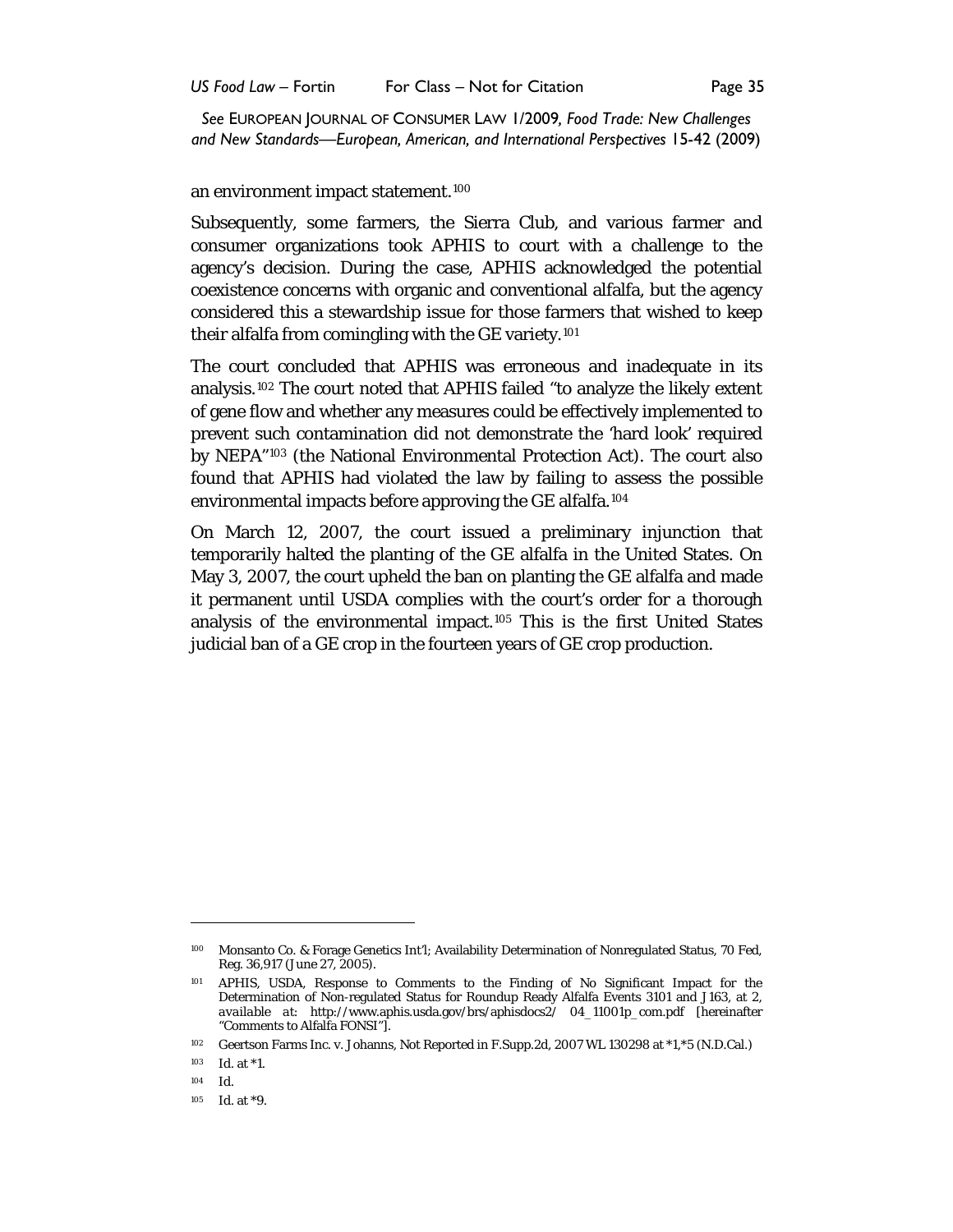an environment impact statement.[100](#page-20-0)

Subsequently, some farmers, the Sierra Club, and various farmer and consumer organizations took APHIS to court with a challenge to the agency's decision. During the case, APHIS acknowledged the potential coexistence concerns with organic and conventional alfalfa, but the agency considered this a stewardship issue for those farmers that wished to keep their alfalfa from comingling with the GE variety.<sup>[101](#page-20-1)</sup>

The court concluded that APHIS was erroneous and inadequate in its analysis.[102](#page-20-2) The court noted that APHIS failed "to analyze the likely extent of gene flow and whether any measures could be effectively implemented to prevent such contamination did not demonstrate the 'hard look' required by NEPA"[103](#page-20-3) (the National Environmental Protection Act). The court also found that APHIS had violated the law by failing to assess the possible environmental impacts before approving the GE alfalfa.[104](#page-20-4)

On March 12, 2007, the court issued a preliminary injunction that temporarily halted the planting of the GE alfalfa in the United States. On May 3, 2007, the court upheld the ban on planting the GE alfalfa and made it permanent until USDA complies with the court's order for a thorough analysis of the environmental impact. [105](#page-20-5) This is the first United States judicial ban of a GE crop in the fourteen years of GE crop production.

<span id="page-20-0"></span><sup>100</sup> Monsanto Co. & Forage Genetics Int'l; Availability Determination of Nonregulated Status, 70 Fed, Reg. 36,917 (June 27, 2005).

<span id="page-20-1"></span><sup>101</sup> APHIS, USDA, Response to Comments to the Finding of No Significant Impact for the Determination of Non-regulated Status for Roundup Ready Alfalfa Events 3101 and J163, at 2, *available at*: http://www.aphis.usda.gov/brs/aphisdocs2/ 04\_11001p\_com.pdf [hereinafter "Comments to Alfalfa FONSI"].

<span id="page-20-2"></span><sup>102</sup> Geertson Farms Inc. v. Johanns, Not Reported in F.Supp.2d, 2007 WL 130298 at \*1,\*5 (N.D.Cal.)

<span id="page-20-3"></span><sup>103</sup> *Id*. at \*1.

<span id="page-20-4"></span><sup>104</sup> *Id.*

<span id="page-20-5"></span><sup>105</sup> *Id*. at \*9.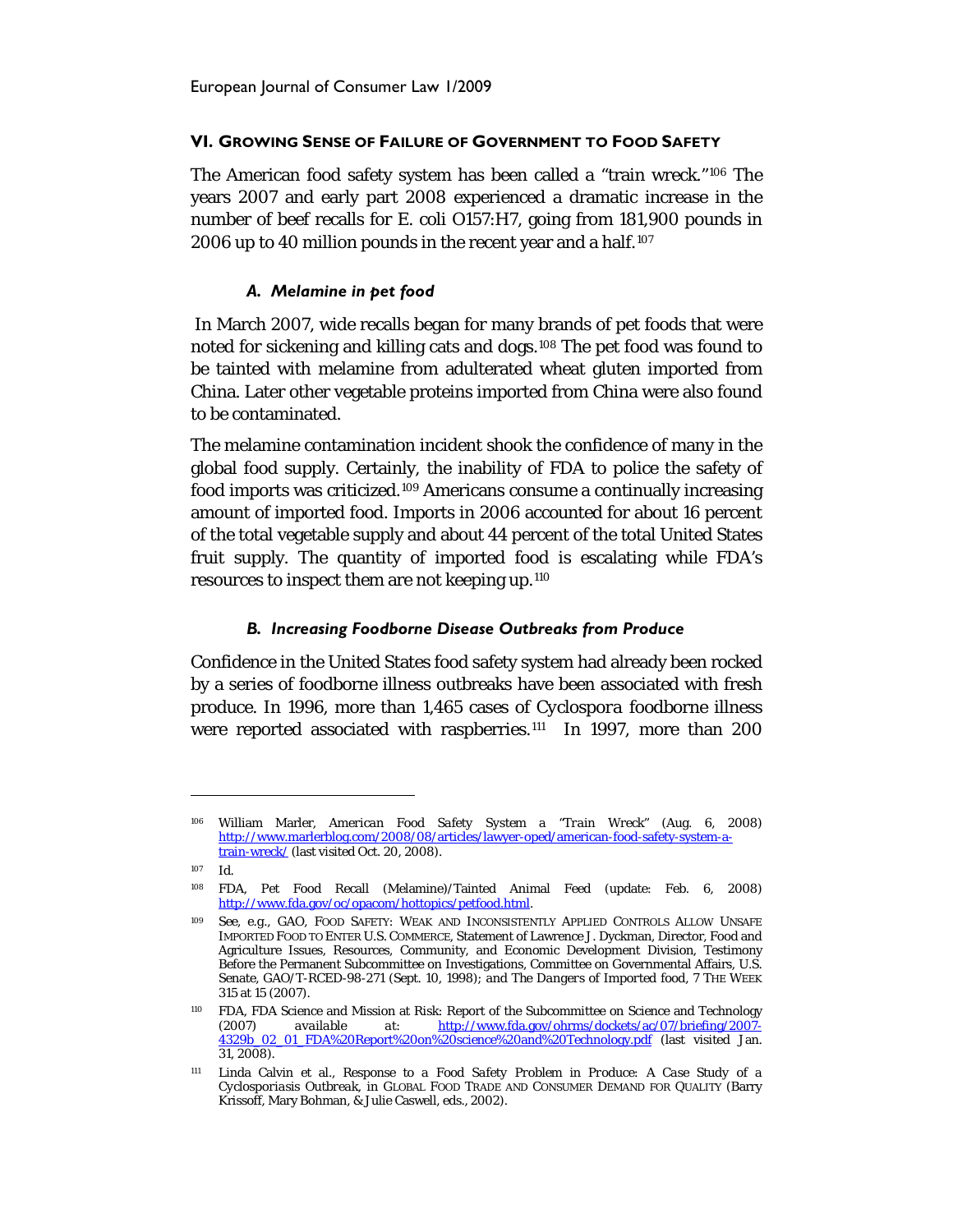## **VI. GROWING SENSE OF FAILURE OF GOVERNMENT TO FOOD SAFETY**

The American food safety system has been called a "train wreck.["106](#page-21-0) The years 2007 and early part 2008 experienced a dramatic increase in the number of beef recalls for *E. coli* O157:H7, going from 181,900 pounds in 2006 up to 40 million pounds in the recent year and a half.<sup>[107](#page-21-1)</sup>

## *A. Melamine in pet food*

In March 2007, wide recalls began for many brands of pet foods that were noted for sickening and killing cats and dogs.[108](#page-21-2) The pet food was found to be tainted with melamine from adulterated wheat gluten imported from China. Later other vegetable proteins imported from China were also found to be contaminated.

The melamine contamination incident shook the confidence of many in the global food supply. Certainly, the inability of FDA to police the safety of food imports was criticized. [109](#page-21-3) Americans consume a continually increasing amount of imported food. Imports in 2006 accounted for about 16 percent of the total vegetable supply and about 44 percent of the total United States fruit supply. The quantity of imported food is escalating while FDA's resources to inspect them are not keeping up.[110](#page-21-4)

#### *B. Increasing Foodborne Disease Outbreaks from Produce*

Confidence in the United States food safety system had already been rocked by a series of foodborne illness outbreaks have been associated with fresh produce. In 1996, more than 1,465 cases of *Cyclospora* foodborne illness were reported associated with raspberries.<sup>111</sup> In 1997, more than 200

<span id="page-21-0"></span><sup>106</sup> William Marler, *American Food Safety System a "Train Wreck*" (Aug. 6, 2008) [http://www.marlerblog.com/2008/08/articles/lawyer-oped/american-food-safety-system-a](http://www.marlerblog.com/2008/08/articles/lawyer-oped/american-food-safety-system-a-train-wreck/)[train-wreck/](http://www.marlerblog.com/2008/08/articles/lawyer-oped/american-food-safety-system-a-train-wreck/) (last visited Oct. 20, 2008).

<span id="page-21-1"></span><sup>107</sup> Id.

<span id="page-21-2"></span><sup>108</sup> FDA, Pet Food Recall (Melamine)/Tainted Animal Feed (update: Feb. 6, 2008) [http://www.fda.gov/oc/opacom/hottopics/petfood.html.](http://www.fda.gov/oc/opacom/hottopics/petfood.html) 

<span id="page-21-3"></span><sup>109</sup> *See, e.g.*, GAO, FOOD SAFETY: WEAK AND INCONSISTENTLY APPLIED CONTROLS ALLOW UNSAFE IMPORTED FOOD TO ENTER U.S. COMMERCE, Statement of Lawrence J. Dyckman, Director, Food and Agriculture Issues, Resources, Community, and Economic Development Division, Testimony Before the Permanent Subcommittee on Investigations, Committee on Governmental Affairs, U.S. Senate, GAO/T-RCED-98-271 (Sept. 10, 1998); *and The Dangers of Imported food*, 7 THE WEEK 315 at 15 (2007).

<span id="page-21-4"></span><sup>&</sup>lt;sup>110</sup> FDA, FDA Science and Mission at Risk: Report of the Subcommittee on Science and Technology<br>(2007) *available at:* http://www.fda.gov/ohrms/dockets/ac/07/briefing/2007-(2007) *available at*: [http://www.fda.gov/ohrms/dockets/ac/07/briefing/2007-](http://www.fda.gov/ohrms/dockets/ac/07/briefing/2007-4329b_02_01_FDA%20Report%20on%20science%20and%20Technology.pdf) [4329b\\_02\\_01\\_FDA%20Report%20on%20science%20and%20Technology.pdf](http://www.fda.gov/ohrms/dockets/ac/07/briefing/2007-4329b_02_01_FDA%20Report%20on%20science%20and%20Technology.pdf) (last visited Jan. 31, 2008).

<span id="page-21-5"></span><sup>111</sup> Linda Calvin et al., *Response to a Food Safety Problem in Produce: A Case Study of a Cyclosporiasis Outbreak*, *in* GLOBAL FOOD TRADE AND CONSUMER DEMAND FOR QUALITY (Barry Krissoff, Mary Bohman, & Julie Caswell, eds., 2002).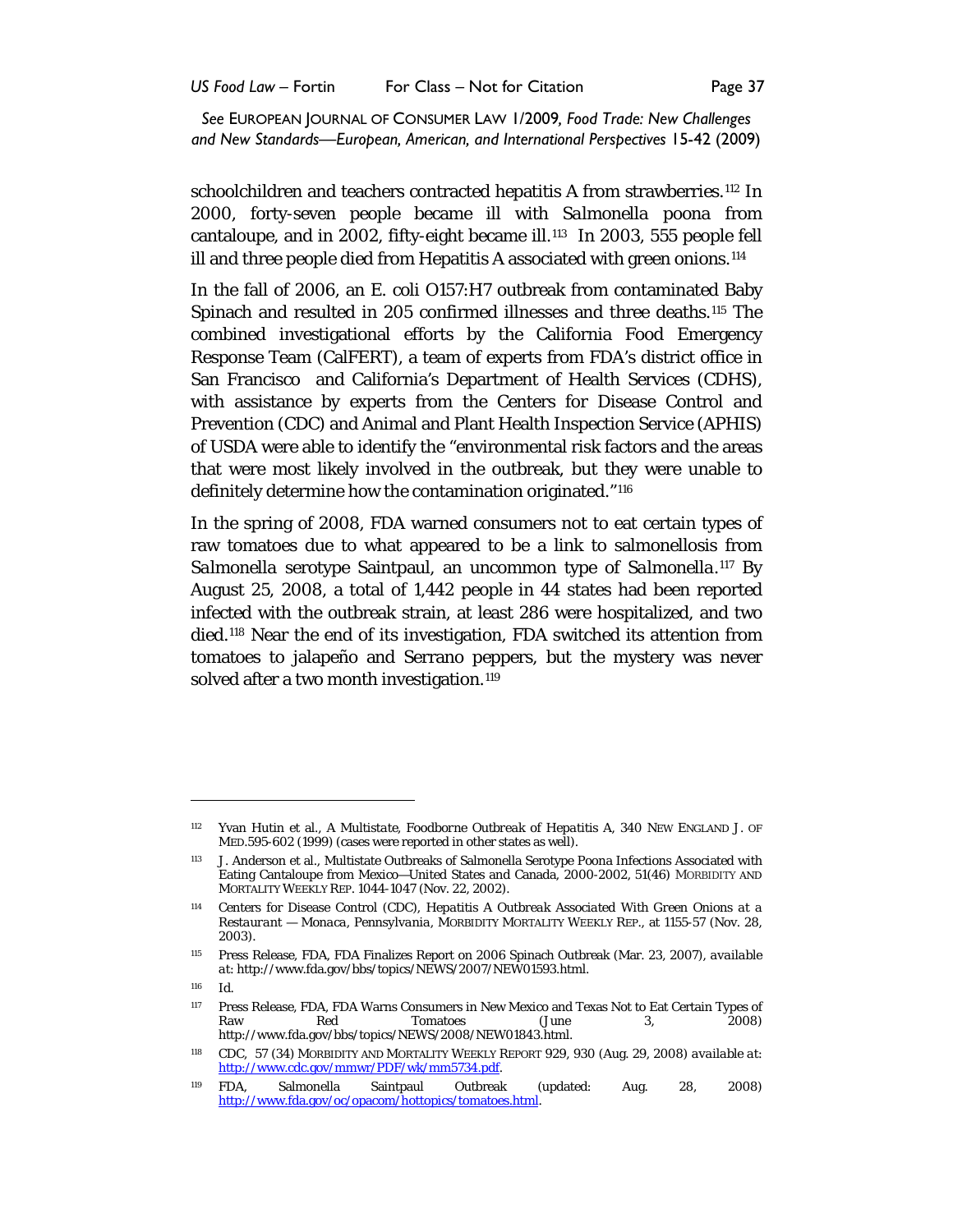schoolchildren and teachers contracted hepatitis A from strawberries.<sup>112</sup> In 2000, forty-seven people became ill with *Salmonella poona* from cantaloupe, and in 2002, fifty-eight became ill.<sup>[113](#page-22-1)</sup> In 2003, 555 people fell ill and three people died from Hepatitis A associated with green onions.<sup>[114](#page-22-2)</sup>

In the fall of 2006, an *E. coli* O157:H7 outbreak from contaminated Baby Spinach and resulted in 205 confirmed illnesses and three deaths.[115](#page-22-3) The combined investigational efforts by the California Food Emergency Response Team (CalFERT), a team of experts from FDA's district office in San Francisco and California's Department of Health Services (CDHS), with assistance by experts from the Centers for Disease Control and Prevention (CDC) and Animal and Plant Health Inspection Service (APHIS) of USDA were able to identify the "environmental risk factors and the areas that were most likely involved in the outbreak, but they were unable to definitely determine how the contamination originated."[116](#page-22-4)

In the spring of 2008, FDA warned consumers not to eat certain types of raw tomatoes due to what appeared to be a link to salmonellosis from *Salmonella* serotype Saintpaul, an uncommon type of *Salmonella*.[117](#page-22-5) By August 25, 2008, a total of 1,442 people in 44 states had been reported infected with the outbreak strain, at least 286 were hospitalized, and two died.[118](#page-22-6) Near the end of its investigation, FDA switched its attention from tomatoes to jalapeño and Serrano peppers, but the mystery was never solved after a two month investigation.<sup>119</sup>

<span id="page-22-4"></span><sup>116</sup> Id.

<span id="page-22-0"></span><sup>112</sup> Yvan Hutin et al., *A Multistate, Foodborne Outbreak of Hepatitis A*, 340 NEW ENGLAND J. OF MED.595-602 (1999) (cases were reported in other states as well).

<span id="page-22-1"></span><sup>113</sup> J. Anderson et al., Multistate Outbreaks of Salmonella Serotype Poona Infections Associated with Eating Cantaloupe from Mexico—United States and Canada, 2000-2002, 51(46) MORBIDITY AND MORTALITY WEEKLY REP. 1044-1047 (Nov. 22, 2002).

<span id="page-22-2"></span><sup>114</sup> Centers for Disease Control (CDC), *Hepatitis A Outbreak Associated With Green Onions at a Restaurant — Monaca, Pennsylvania,* MORBIDITY MORTALITY WEEKLY REP., at 1155-57 (Nov. 28, 2003).

<span id="page-22-3"></span><sup>115</sup> Press Release, FDA, FDA Finalizes Report on 2006 Spinach Outbreak (Mar. 23, 2007), *available at*: http://www.fda.gov/bbs/topics/NEWS/2007/NEW01593.html.

<span id="page-22-5"></span><sup>117</sup> Press Release, FDA, FDA Warns Consumers in New Mexico and Texas Not to Eat Certain Types of Raw Red Tomatoes (June 3, 2008) http://www.fda.gov/bbs/topics/NEWS/2008/NEW01843.html.

<span id="page-22-6"></span><sup>118</sup> CDC, 57 (34) MORBIDITY AND MORTALITY WEEKLY REPORT 929, 930 (Aug. 29, 2008) *available at*: [http://www.cdc.gov/mmwr/PDF/wk/mm5734.pdf.](http://www.cdc.gov/mmwr/PDF/wk/mm5734.pdf)

<span id="page-22-7"></span><sup>119</sup> FDA, Salmonella Saintpaul Outbreak (updated: Aug. 28, 2008) [http://www.fda.gov/oc/opacom/hottopics/tomatoes.html.](http://www.fda.gov/oc/opacom/hottopics/tomatoes.html)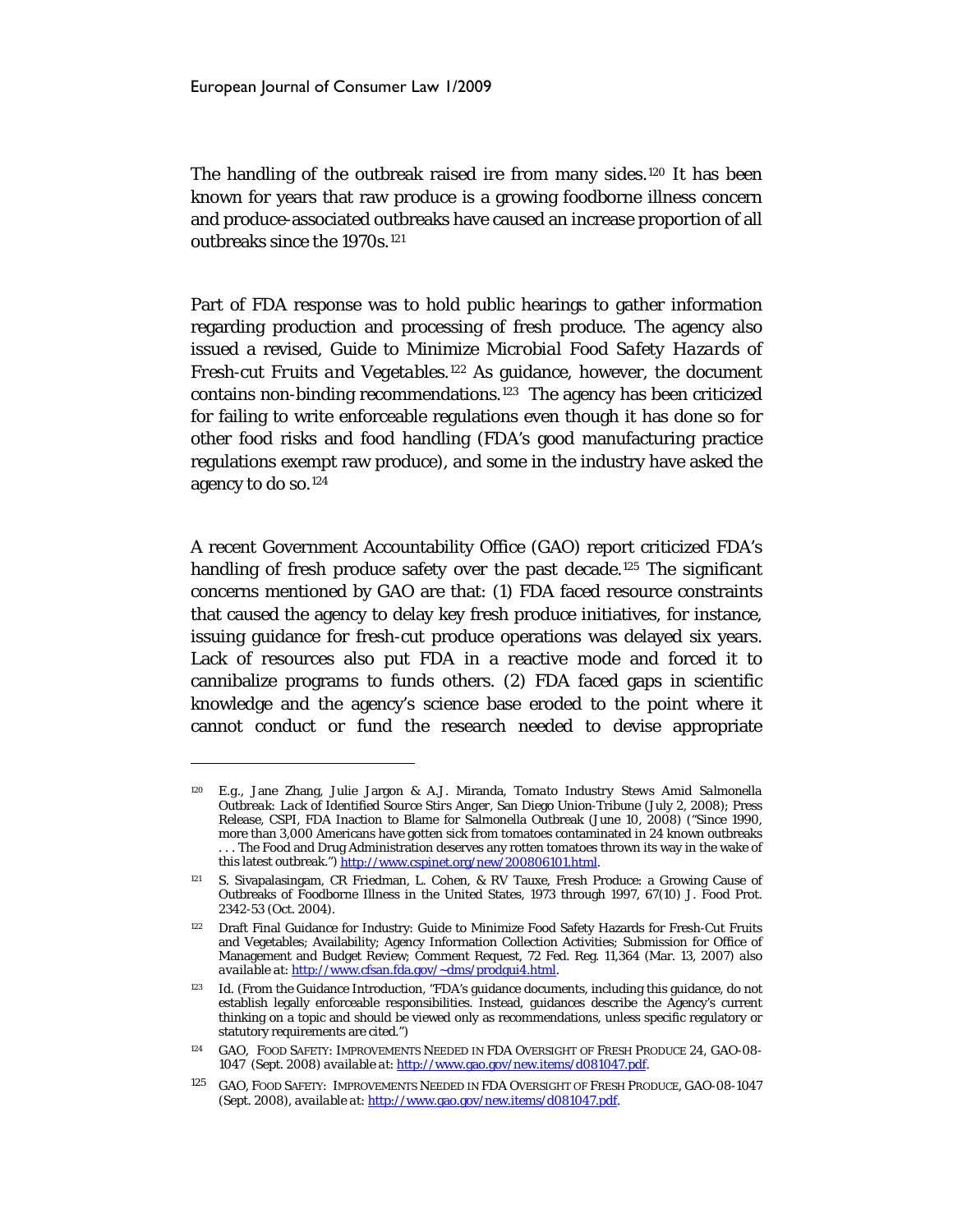$\overline{a}$ 

The handling of the outbreak raised ire from many sides.<sup>[120](#page-23-0)</sup> It has been known for years that raw produce is a growing foodborne illness concern and produce-associated outbreaks have caused an increase proportion of all outbreaks since the 1970s.[121](#page-23-1)

Part of FDA response was to hold public hearings to gather information regarding production and processing of fresh produce. The agency also issued a revised, *Guide to Minimize Microbial Food Safety Hazards of Fresh-cut Fruits and Vegetables.*[122](#page-23-2) As guidance, however, the document contains non-binding recommendations.<sup>[123](#page-23-3)</sup> The agency has been criticized for failing to write enforceable regulations even though it has done so for other food risks and food handling (FDA's good manufacturing practice regulations exempt raw produce), and some in the industry have asked the agency to do so.[124](#page-23-4)

A recent Government Accountability Office (GAO) report criticized FDA's handling of fresh produce safety over the past decade.<sup>[125](#page-23-5)</sup> The significant concerns mentioned by GAO are that: (1) FDA faced resource constraints that caused the agency to delay key fresh produce initiatives, for instance, issuing guidance for fresh-cut produce operations was delayed six years. Lack of resources also put FDA in a reactive mode and forced it to cannibalize programs to funds others. (2) FDA faced gaps in scientific knowledge and the agency's science base eroded to the point where it cannot conduct or fund the research needed to devise appropriate

<span id="page-23-0"></span><sup>120</sup> *E.g.*, Jane Zhang, Julie Jargon & A.J. Miranda, *Tomato Industry Stews Amid Salmonella Outbreak: Lack of Identified Source Stirs Anger*, San Diego Union-Tribune (July 2, 2008); Press Release, CSPI, FDA Inaction to Blame for Salmonella Outbreak (June 10, 2008) ("Since 1990, more than 3,000 Americans have gotten sick from tomatoes contaminated in 24 known outbreaks . . . The Food and Drug Administration deserves any rotten tomatoes thrown its way in the wake of this latest outbreak.") [http://www.cspinet.org/new/200806101.html.](http://www.cspinet.org/new/200806101.html)

<span id="page-23-1"></span><sup>121</sup> S. Sivapalasingam, CR Friedman, L. Cohen, & RV Tauxe, Fresh Produce: a Growing Cause of Outbreaks of Foodborne Illness in the United States, 1973 through 1997, 67(10) J. Food Prot. 2342-53 (Oct. 2004).

<span id="page-23-2"></span><sup>122</sup> Draft Final Guidance for Industry: Guide to Minimize Food Safety Hazards for Fresh-Cut Fruits and Vegetables; Availability; Agency Information Collection Activities; Submission for Office of Management and Budget Review; Comment Request, 72 Fed. Reg. 11,364 (Mar. 13, 2007) *also available at*[: http://www.cfsan.fda.gov/~dms/prodgui4.html.](http://www.cfsan.fda.gov/~dms/prodgui4.html)

<span id="page-23-3"></span><sup>&</sup>lt;sup>123</sup> *Id.* (From the Guidance Introduction, "FDA's guidance documents, including this guidance, do not establish legally enforceable responsibilities. Instead, guidances describe the Agency's current thinking on a topic and should be viewed only as recommendations, unless specific regulatory or statutory requirements are cited.")

<span id="page-23-4"></span><sup>124</sup> GAO, FOOD SAFETY: IMPROVEMENTS NEEDED IN FDA OVERSIGHT OF FRESH PRODUCE 24, GAO-08- 1047 (Sept. 2008) *available at*: [http://www.gao.gov/new.items/d081047.pdf.](http://www.gao.gov/new.items/d081047.pdf)

<span id="page-23-5"></span><sup>125</sup> GAO, FOOD SAFETY: IMPROVEMENTS NEEDED IN FDA OVERSIGHT OF FRESH PRODUCE, GAO-08-1047 (Sept. 2008), *available at*[: http://www.gao.gov/new.items/d081047.pdf.](http://www.gao.gov/new.items/d081047.pdf)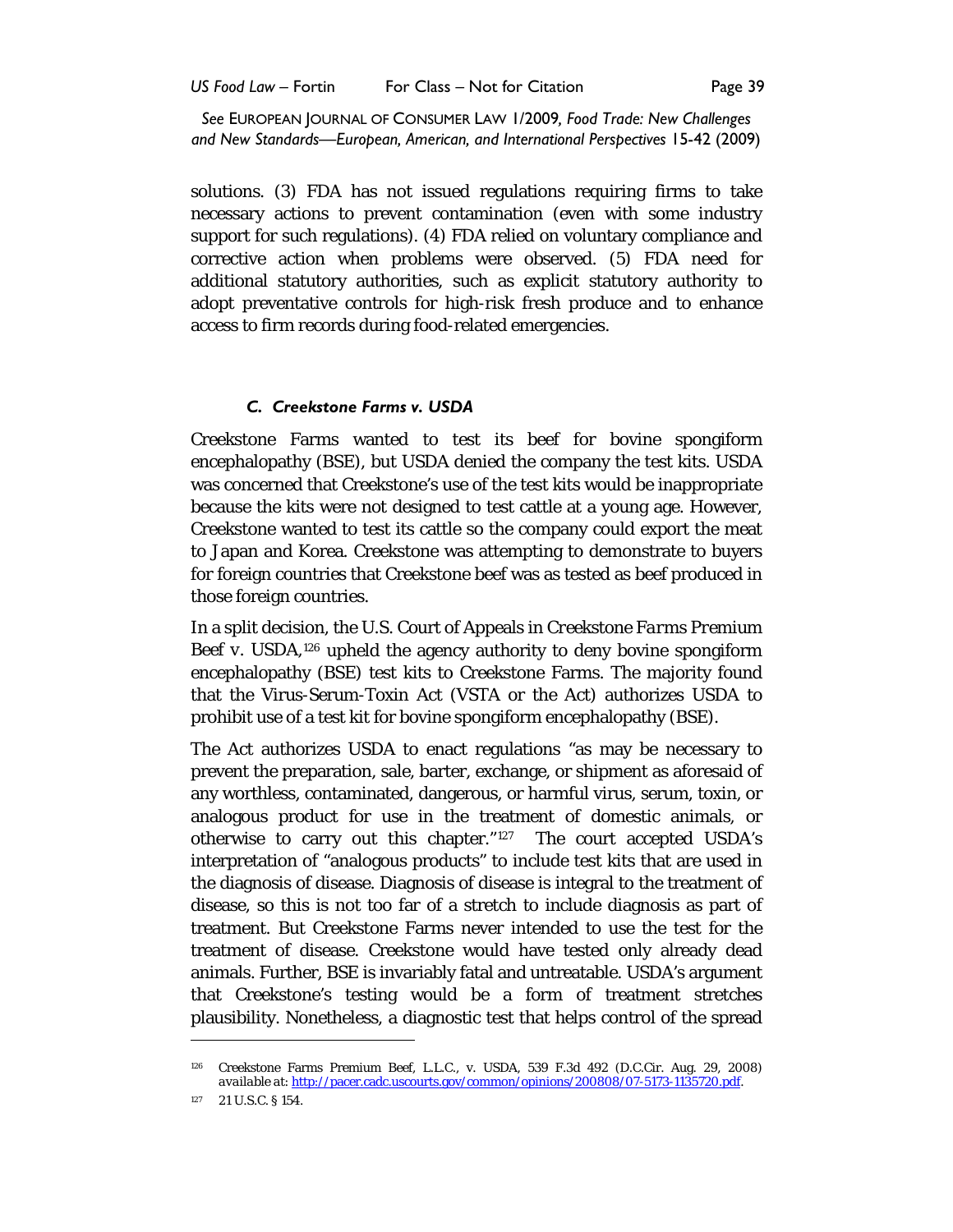solutions. (3) FDA has not issued regulations requiring firms to take necessary actions to prevent contamination (even with some industry support for such regulations). (4) FDA relied on voluntary compliance and corrective action when problems were observed. (5) FDA need for additional statutory authorities, such as explicit statutory authority to adopt preventative controls for high-risk fresh produce and to enhance access to firm records during food-related emergencies.

#### *C. Creekstone Farms v. USDA*

Creekstone Farms wanted to test its beef for bovine spongiform encephalopathy (BSE), but USDA denied the company the test kits. USDA was concerned that Creekstone's use of the test kits would be inappropriate because the kits were not designed to test cattle at a young age. However, Creekstone wanted to test its cattle so the company could export the meat to Japan and Korea. Creekstone was attempting to demonstrate to buyers for foreign countries that Creekstone beef was as tested as beef produced in those foreign countries.

In a split decision, the U.S. Court of Appeals in *Creekstone Farms Premium*  Beef v. USDA,<sup>[126](#page-24-0)</sup> upheld the agency authority to deny bovine spongiform encephalopathy (BSE) test kits to Creekstone Farms. The majority found that the Virus-Serum-Toxin Act (VSTA or the Act) authorizes USDA to prohibit use of a test kit for bovine spongiform encephalopathy (BSE).

The Act authorizes USDA to enact regulations "as may be necessary to prevent the preparation, sale, barter, exchange, or shipment as aforesaid of any worthless, contaminated, dangerous, or harmful virus, serum, toxin, or analogous product for use in the treatment of domestic animals, or otherwise to carry out this chapter." [127](#page-24-1) The court accepted USDA's interpretation of "analogous products" to include test kits that are used in the diagnosis of disease. Diagnosis of disease is integral to the treatment of disease, so this is not too far of a stretch to include diagnosis as part of treatment. But Creekstone Farms never intended to use the test for the treatment of disease. Creekstone would have tested only already dead animals. Further, BSE is invariably fatal and untreatable. USDA's argument that Creekstone's testing would be a form of treatment stretches plausibility. Nonetheless, a diagnostic test that helps control of the spread

<span id="page-24-0"></span><sup>126</sup> Creekstone Farms Premium Beef, L.L.C., v. USDA, 539 F.3d 492 (D.C.Cir. Aug. 29, 2008) *available at*: [http://pacer.cadc.uscourts.gov/common/opinions/200808/07-5173-1135720.pdf.](http://pacer.cadc.uscourts.gov/common/opinions/200808/07-5173-1135720.pdf) 

<span id="page-24-1"></span><sup>127 21</sup> U.S.C. § 154.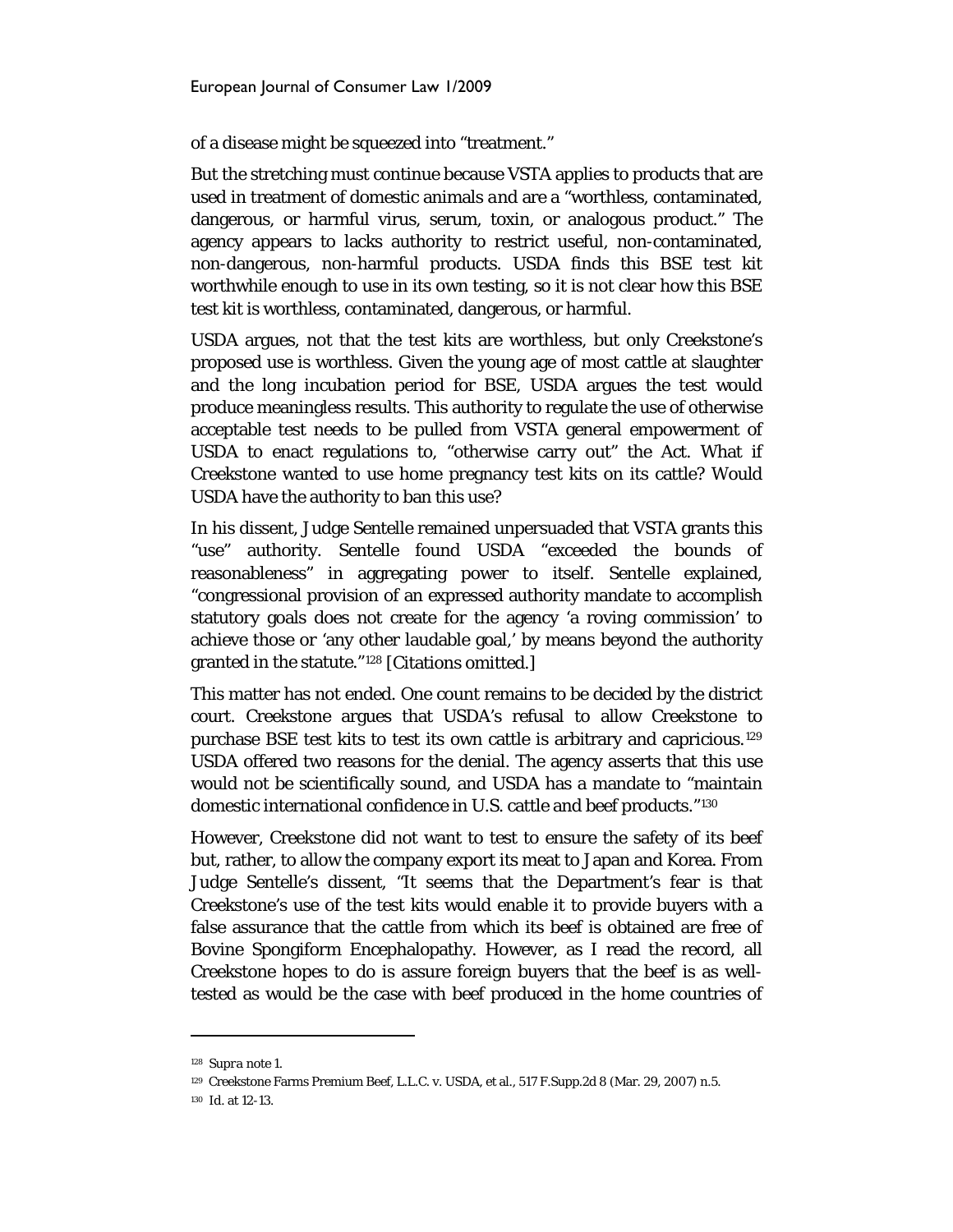of a disease might be squeezed into "treatment."

But the stretching must continue because VSTA applies to products that are used in treatment of domestic animals *and* are a "worthless, contaminated, dangerous, or harmful virus, serum, toxin, or analogous product." The agency appears to lacks authority to restrict useful, non-contaminated, non-dangerous, non-harmful products. USDA finds this BSE test kit worthwhile enough to use in its own testing, so it is not clear how this BSE test kit is worthless, contaminated, dangerous, or harmful.

USDA argues, not that the test kits are worthless, but only Creekstone's proposed *use* is worthless. Given the young age of most cattle at slaughter and the long incubation period for BSE, USDA argues the test would produce meaningless results. This authority to regulate the use of otherwise acceptable test needs to be pulled from VSTA general empowerment of USDA to enact regulations to, "otherwise carry out" the Act. What if Creekstone wanted to use home pregnancy test kits on its cattle? Would USDA have the authority to ban this use?

In his dissent, Judge Sentelle remained unpersuaded that VSTA grants this "use" authority. Sentelle found USDA "exceeded the bounds of reasonableness" in aggregating power to itself. Sentelle explained, "congressional provision of an expressed authority mandate to accomplish statutory goals does not create for the agency 'a roving commission' to achieve those or 'any other laudable goal,' by means beyond the authority granted in the statute.["128](#page-25-0) [Citations omitted.]

This matter has not ended. One count remains to be decided by the district court. Creekstone argues that USDA's refusal to allow Creekstone to purchase BSE test kits to test its own cattle is arbitrary and capricious. [129](#page-25-1) USDA offered two reasons for the denial. The agency asserts that this use would not be scientifically sound, and USDA has a mandate to "maintain domestic international confidence in U.S. cattle and beef products."[130](#page-25-2)

However, Creekstone did not want to test to ensure the safety of its beef but, rather, to allow the company export its meat to Japan and Korea. From Judge Sentelle's dissent, "It seems that the Department's fear is that Creekstone's use of the test kits would enable it to provide buyers with a false assurance that the cattle from which its beef is obtained are free of Bovine Spongiform Encephalopathy. However, as I read the record, all Creekstone hopes to do is assure foreign buyers that the beef is as welltested as would be the case with beef produced in the home countries of

<span id="page-25-0"></span><sup>128</sup> *Supra* note 1.

<span id="page-25-1"></span><sup>129</sup> Creekstone Farms Premium Beef, L.L.C. v. USDA, et al., 517 F.Supp.2d 8 (Mar. 29, 2007) n.5.

<span id="page-25-2"></span><sup>130</sup> *Id.* at 12-13.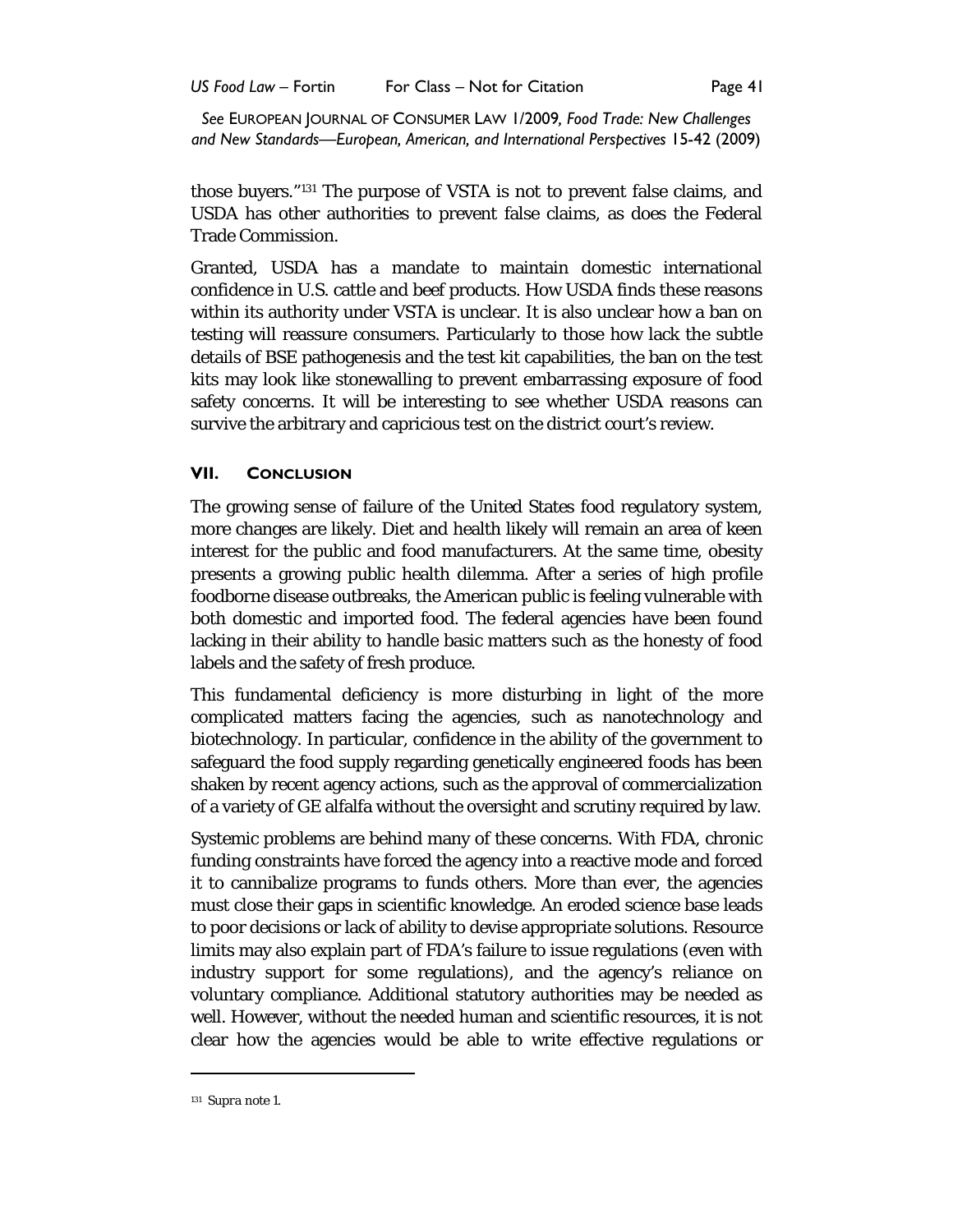US Food Law – Fortin For Class – Not for Citation **Formulation** Page 41

*See* EUROPEAN JOURNAL OF CONSUMER LAW 1/2009*, Food Trade: New Challenges and New Standards—European, American, and International Perspectives* 15-42 (2009)

those buyers."[131](#page-26-0) The purpose of VSTA is not to prevent false claims, and USDA has other authorities to prevent false claims, as does the Federal Trade Commission.

Granted, USDA has a mandate to maintain domestic international confidence in U.S. cattle and beef products. How USDA finds these reasons within its authority under VSTA is unclear. It is also unclear how a ban on testing will reassure consumers. Particularly to those how lack the subtle details of BSE pathogenesis and the test kit capabilities, the ban on the test kits may look like stonewalling to prevent embarrassing exposure of food safety concerns. It will be interesting to see whether USDA reasons can survive the arbitrary and capricious test on the district court's review.

## **VII. CONCLUSION**

The growing sense of failure of the United States food regulatory system, more changes are likely. Diet and health likely will remain an area of keen interest for the public and food manufacturers. At the same time, obesity presents a growing public health dilemma. After a series of high profile foodborne disease outbreaks, the American public is feeling vulnerable with both domestic and imported food. The federal agencies have been found lacking in their ability to handle basic matters such as the honesty of food labels and the safety of fresh produce.

This fundamental deficiency is more disturbing in light of the more complicated matters facing the agencies, such as nanotechnology and biotechnology. In particular, confidence in the ability of the government to safeguard the food supply regarding genetically engineered foods has been shaken by recent agency actions, such as the approval of commercialization of a variety of GE alfalfa without the oversight and scrutiny required by law.

Systemic problems are behind many of these concerns. With FDA, chronic funding constraints have forced the agency into a reactive mode and forced it to cannibalize programs to funds others. More than ever, the agencies must close their gaps in scientific knowledge. An eroded science base leads to poor decisions or lack of ability to devise appropriate solutions. Resource limits may also explain part of FDA's failure to issue regulations (even with industry support for some regulations), and the agency's reliance on voluntary compliance. Additional statutory authorities may be needed as well. However, without the needed human and scientific resources, it is not clear how the agencies would be able to write effective regulations or

<span id="page-26-0"></span><sup>131</sup> *Supra* note 1.